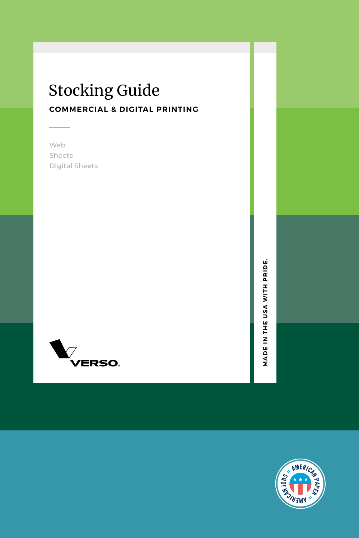## **COMMERCIAL & DIGITAL PRINTING** Stocking Guide

Web Sheets Digital Sheets



MADE IN THE USA WITH PRIDE. **MADE IN THE USA WITH PRIDE.** 

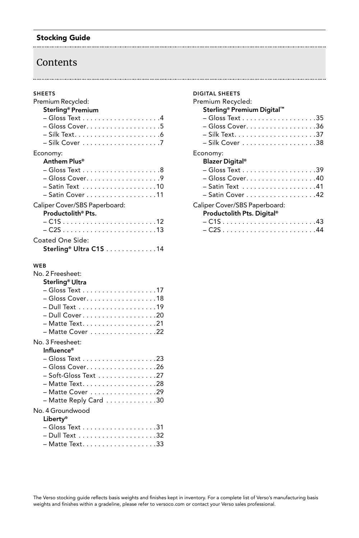#### Stocking Guide

## Contents

#### SHEETS

| Premium Recycled:                                       |
|---------------------------------------------------------|
| Sterling® Premium                                       |
| $-Gloss Text \ldots \ldots \ldots \ldots \ldots 4$      |
|                                                         |
|                                                         |
|                                                         |
| Economy:                                                |
| Anthem Plus®                                            |
|                                                         |
| - Gloss Cover. 9                                        |
| - Satin Text 10                                         |
| $-$ Satin Cover $\ldots \ldots \ldots \ldots \ldots 11$ |
| Caliper Cover/SBS Paperboard:                           |
| Productolith <sup>®</sup> Pts.                          |
|                                                         |
|                                                         |
|                                                         |
| Coated One Side:                                        |
| Sterling <sup>®</sup> Ultra C1S 14                      |
|                                                         |
| <b>WEB</b>                                              |
| No. 2 Freesheet:                                        |
| Sterling <sup>®</sup> Ultra                             |
|                                                         |
| – Gloss Cover. 18                                       |
|                                                         |
|                                                         |
|                                                         |
| - Matte Cover 22                                        |
| No. 3 Freesheet:                                        |
| Influence®                                              |
|                                                         |
| – Gloss Cover. 26                                       |
| - Soft-Gloss Text 27                                    |
| - Matte Text. 28                                        |
| - Matte Cover 29                                        |
| - Matte Reply Card 30                                   |
|                                                         |
| No. 4 Groundwood                                        |

#### Liberty®

| ------ |  |
|--------|--|
|        |  |
|        |  |
|        |  |
|        |  |

| <b>DIGITAL SHEETS</b>                                                   |
|-------------------------------------------------------------------------|
| Premium Recycled:                                                       |
| Sterling® Premium Digital™                                              |
|                                                                         |
| - Gloss Cover. 36                                                       |
|                                                                         |
|                                                                         |
| Economy:<br><b>Blazer Digital®</b>                                      |
|                                                                         |
| – Gloss Cover. 40                                                       |
|                                                                         |
| - Satin Cover 42                                                        |
| Caliper Cover/SBS Paperboard:<br>Productolith Pts. Digital <sup>®</sup> |
|                                                                         |
|                                                                         |
|                                                                         |

#### The Verso stocking guide reflects basis weights and finishes kept in inventory. For a complete list of Verso's manufacturing basis weights and finishes within a gradeline, please refer to versoco.com or contact your Verso sales professional.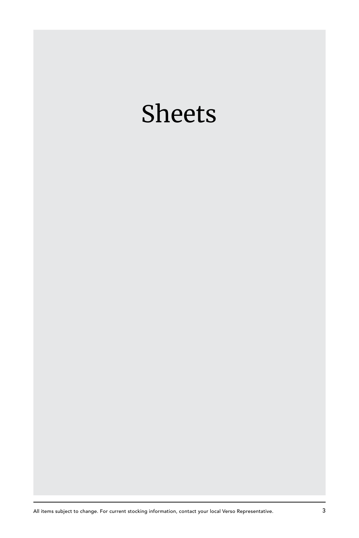## Sheets

All items subject to change. For current stocking information, contact your local Verso Representative. 3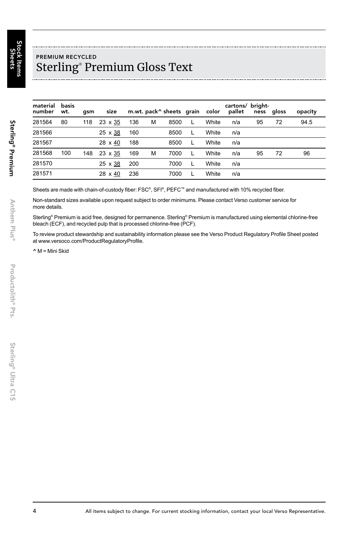Sterling® Premium

Sterling<sup>®</sup> Premium

Anthem

Plus®

## PREMIUM RECYCLED Sterling® Premium Gloss Text

| material<br>number | basis<br>wt. | asm | size       |     |   | m.wt. pack^ sheets grain | color | cartons/ bright-<br>pallet | ness | gloss | opacity |
|--------------------|--------------|-----|------------|-----|---|--------------------------|-------|----------------------------|------|-------|---------|
| 281564             | 80           | 118 | 23 x 35    | 136 | М | 8500                     | White | n/a                        | 95   | 72    | 94.5    |
| 281566             |              |     | 25 x 38    | 160 |   | 8500                     | White | n/a                        |      |       |         |
| 281567             |              |     | 28 x 40    | 188 |   | 8500                     | White | n/a                        |      |       |         |
| 281568             | 100          | 148 | 23 x 35    | 169 | M | 7000                     | White | n/a                        | 95   | 72    | 96      |
| 281570             |              |     | 25 x 38    | 200 |   | 7000                     | White | n/a                        |      |       |         |
| 281571             |              |     | 28<br>x 40 | 236 |   | 7000                     | White | n/a                        |      |       |         |

Sheets are made with chain-of-custody fiber: FSC®, SFI®, PEFC™ and manufactured with 10% recycled fiber.

Non-standard sizes available upon request subject to order minimums. Please contact Verso customer service for more details.

Sterling® Premium is acid free, designed for permanence. Sterling® Premium is manufactured using elemental chlorine-free bleach (ECF), and recycled pulp that is processed chlorine-free (PCF).

To review product stewardship and sustainability information please see the Verso Product Regulatory Profile Sheet posted at www.versoco.com/ProductRegulatoryProfile.

 $\wedge$  M = Mini Skid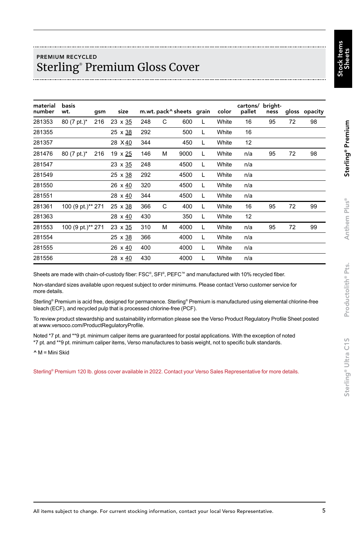## PREMIUM RECYCLED Sterling® Premium Gloss Cover

| material<br>number | basis<br>wt.      | gsm | size           |     |   | m.wt. pack^sheets grain |   | color | cartons/<br>pallet | bright-<br>ness |    | gloss opacity |
|--------------------|-------------------|-----|----------------|-----|---|-------------------------|---|-------|--------------------|-----------------|----|---------------|
| 281353             | 80 (7 pt.)*       | 216 | $23 \times 35$ | 248 | C | 600                     | L | White | 16                 | 95              | 72 | 98            |
| 281355             |                   |     | 25 x 38        | 292 |   | 500                     | L | White | 16                 |                 |    |               |
| 281357             |                   |     | 28 X 40        | 344 |   | 450                     | L | White | 12                 |                 |    |               |
| 281476             | 80 (7 pt.)*       | 216 | 19 x 25        | 146 | M | 9000                    | L | White | n/a                | 95              | 72 | 98            |
| 281547             |                   |     | $23 \times 35$ | 248 |   | 4500                    | L | White | n/a                |                 |    |               |
| 281549             |                   |     | 25 x 38        | 292 |   | 4500                    | L | White | n/a                |                 |    |               |
| 281550             |                   |     | 26 x 40        | 320 |   | 4500                    | L | White | n/a                |                 |    |               |
| 281551             |                   |     | 28 x 40        | 344 |   | 4500                    | L | White | n/a                |                 |    |               |
| 281361             | 100 (9 pt.)** 271 |     | 25 x 38        | 366 | C | 400                     | L | White | 16                 | 95              | 72 | 99            |
| 281363             |                   |     | 28 x 40        | 430 |   | 350                     | L | White | 12                 |                 |    |               |
| 281553             | 100 (9 pt.)** 271 |     | $23 \times 35$ | 310 | M | 4000                    | L | White | n/a                | 95              | 72 | 99            |
| 281554             |                   |     | 25 x 38        | 366 |   | 4000                    | L | White | n/a                |                 |    |               |
| 281555             |                   |     | 26 x 40        | 400 |   | 4000                    | L | White | n/a                |                 |    |               |
| 281556             |                   |     | 28 x 40        | 430 |   | 4000                    | L | White | n/a                |                 |    |               |

Sheets are made with chain-of-custody fiber: FSC®, SFI®, PEFC™ and manufactured with 10% recycled fiber.

Non-standard sizes available upon request subject to order minimums. Please contact Verso customer service for more details.

Sterling® Premium is acid free, designed for permanence. Sterling® Premium is manufactured using elemental chlorine-free bleach (ECF), and recycled pulp that is processed chlorine-free (PCF).

To review product stewardship and sustainability information please see the Verso Product Regulatory Profile Sheet posted at www.versoco.com/ProductRegulatoryProfile.

Noted \*7 pt. and \*\*9 pt. minimum caliper items are guaranteed for postal applications. With the exception of noted \*7 pt. and \*\*9 pt. minimum caliper items, Verso manufactures to basis weight, not to specific bulk standards.

^ M = Mini Skid

Sterling® Premium 120 lb. gloss cover available in 2022. Contact your Verso Sales Representative for more details.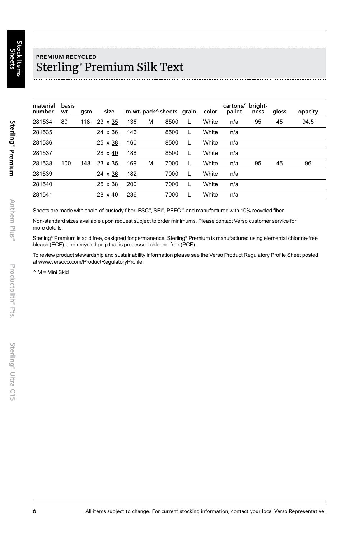Sterling® Premium

Sterling<sup>®</sup> Premium

Anthem

Plus®

## PREMIUM RECYCLED Sterling® Premium Silk Text

| material<br>number | basis<br>wt. | qsm | size    |     |   | m.wt. pack^sheets grain |   | color | cartons/ bright-<br>pallet | ness | gloss | opacity |
|--------------------|--------------|-----|---------|-----|---|-------------------------|---|-------|----------------------------|------|-------|---------|
| 281534             | 80           | 118 | 23 x 35 | 136 | M | 8500                    |   | White | n/a                        | 95   | 45    | 94.5    |
| 281535             |              |     | 24 x 36 | 146 |   | 8500                    | L | White | n/a                        |      |       |         |
| 281536             |              |     | 25 x 38 | 160 |   | 8500                    | L | White | n/a                        |      |       |         |
| 281537             |              |     | 28 x 40 | 188 |   | 8500                    | L | White | n/a                        |      |       |         |
| 281538             | 100          | 148 | 23 x 35 | 169 | M | 7000                    | L | White | n/a                        | 95   | 45    | 96      |
| 281539             |              |     | 24 x 36 | 182 |   | 7000                    | L | White | n/a                        |      |       |         |
| 281540             |              |     | 25 x 38 | 200 |   | 7000                    |   | White | n/a                        |      |       |         |
| 281541             |              |     | 28 x 40 | 236 |   | 7000                    | L | White | n/a                        |      |       |         |

Sheets are made with chain-of-custody fiber: FSC®, SFI®, PEFC™ and manufactured with 10% recycled fiber.

Non-standard sizes available upon request subject to order minimums. Please contact Verso customer service for more details.

Sterling® Premium is acid free, designed for permanence. Sterling® Premium is manufactured using elemental chlorine-free bleach (ECF), and recycled pulp that is processed chlorine-free (PCF).

To review product stewardship and sustainability information please see the Verso Product Regulatory Profile Sheet posted at www.versoco.com/ProductRegulatoryProfile.

^ M = Mini Skid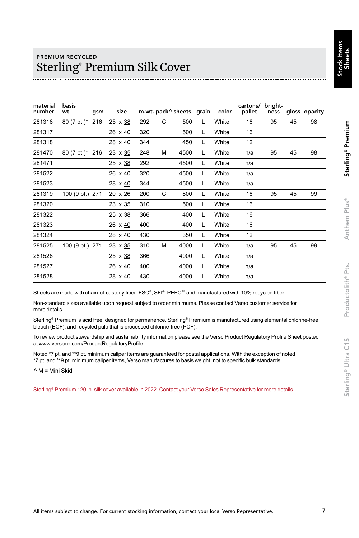## PREMIUM RECYCLED Sterling® Premium Silk Cover

| material<br>number | basis<br>wt.    | gsm | size           |     |   | m.wt. pack^ sheets grain |   | color | cartons/<br>pallet | bright-<br>ness |    | gloss opacity |
|--------------------|-----------------|-----|----------------|-----|---|--------------------------|---|-------|--------------------|-----------------|----|---------------|
| 281316             | 80 (7 pt.)*     | 216 | $25 \times 38$ | 292 | C | 500                      | L | White | 16                 | 95              | 45 | 98            |
| 281317             |                 |     | 26 $\times$ 40 | 320 |   | 500                      | L | White | 16                 |                 |    |               |
| 281318             |                 |     | 28 x 40        | 344 |   | 450                      | L | White | 12                 |                 |    |               |
| 281470             | 80 (7 pt.)* 216 |     | $23 \times 35$ | 248 | M | 4500                     | L | White | n/a                | 95              | 45 | 98            |
| 281471             |                 |     | $25 \times 38$ | 292 |   | 4500                     | L | White | n/a                |                 |    |               |
| 281522             |                 |     | 26 x 40        | 320 |   | 4500                     | L | White | n/a                |                 |    |               |
| 281523             |                 |     | 28 $\times$ 40 | 344 |   | 4500                     | L | White | n/a                |                 |    |               |
| 281319             | 100 (9 pt.) 271 |     | 20 x 26        | 200 | C | 800                      | L | White | 16                 | 95              | 45 | 99            |
| 281320             |                 |     | $23 \times 35$ | 310 |   | 500                      | L | White | 16                 |                 |    |               |
| 281322             |                 |     | $25 \times 38$ | 366 |   | 400                      | L | White | 16                 |                 |    |               |
| 281323             |                 |     | 26 x 40        | 400 |   | 400                      | L | White | 16                 |                 |    |               |
| 281324             |                 |     | 28 $\times$ 40 | 430 |   | 350                      | L | White | 12                 |                 |    |               |
| 281525             | 100 (9 pt.) 271 |     | $23 \times 35$ | 310 | M | 4000                     | L | White | n/a                | 95              | 45 | 99            |
| 281526             |                 |     | 25 x 38        | 366 |   | 4000                     | L | White | n/a                |                 |    |               |
| 281527             |                 |     | 26 x 40        | 400 |   | 4000                     | L | White | n/a                |                 |    |               |
| 281528             |                 |     | 28 x 40        | 430 |   | 4000                     | L | White | n/a                |                 |    |               |

Sheets are made with chain-of-custody fiber: FSC®, SFI®, PEFC™ and manufactured with 10% recycled fiber.

Non-standard sizes available upon request subject to order minimums. Please contact Verso customer service for more details.

Sterling® Premium is acid free, designed for permanence. Sterling® Premium is manufactured using elemental chlorine-free bleach (ECF), and recycled pulp that is processed chlorine-free (PCF).

To review product stewardship and sustainability information please see the Verso Product Regulatory Profile Sheet posted at www.versoco.com/ProductRegulatoryProfile.

Noted \*7 pt. and \*\*9 pt. minimum caliper items are guaranteed for postal applications. With the exception of noted \*7 pt. and \*\*9 pt. minimum caliper items, Verso manufactures to basis weight, not to specific bulk standards.

 $\wedge$  M = Mini Skid

Sterling® Premium 120 lb. silk cover available in 2022. Contact your Verso Sales Representative for more details.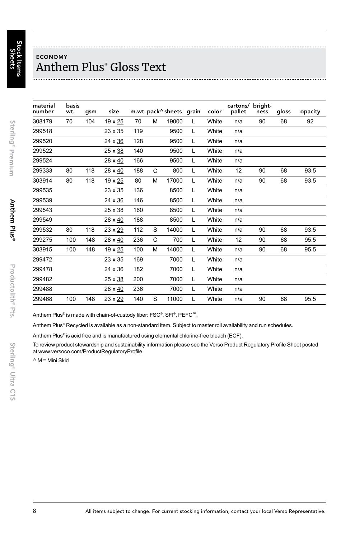Sterling® Premium

Sterling<sup>®</sup> Premium

Anthem

Plus®

Productolith® Pts.

Productolith<sup>®</sup> Pts.

## ECONOMY Anthem Plus® Gloss Text

| material<br>number | basis<br>wt. | gsm | size    |     |   | m.wt. pack^sheets grain |   | color | cartons/<br>pallet | bright-<br>ness | gloss | opacity |
|--------------------|--------------|-----|---------|-----|---|-------------------------|---|-------|--------------------|-----------------|-------|---------|
| 308179             | 70           | 104 | 19 x 25 | 70  | M | 19000                   | L | White | n/a                | 90              | 68    | 92      |
| 299518             |              |     | 23 x 35 | 119 |   | 9500                    | L | White | n/a                |                 |       |         |
| 299520             |              |     | 24 x 36 | 128 |   | 9500                    | L | White | n/a                |                 |       |         |
| 299522             |              |     | 25 x 38 | 140 |   | 9500                    | L | White | n/a                |                 |       |         |
| 299524             |              |     | 28 x 40 | 166 |   | 9500                    | L | White | n/a                |                 |       |         |
| 299333             | 80           | 118 | 28 x 40 | 188 | C | 800                     | L | White | 12                 | 90              | 68    | 93.5    |
| 303914             | 80           | 118 | 19 x 25 | 80  | M | 17000                   | L | White | n/a                | 90              | 68    | 93.5    |
| 299535             |              |     | 23 x 35 | 136 |   | 8500                    | L | White | n/a                |                 |       |         |
| 299539             |              |     | 24 x 36 | 146 |   | 8500                    | L | White | n/a                |                 |       |         |
| 299543             |              |     | 25 x 38 | 160 |   | 8500                    | L | White | n/a                |                 |       |         |
| 299549             |              |     | 28 x 40 | 188 |   | 8500                    | L | White | n/a                |                 |       |         |
| 299532             | 80           | 118 | 23 x 29 | 112 | S | 14000                   | L | White | n/a                | 90              | 68    | 93.5    |
| 299275             | 100          | 148 | 28 x 40 | 236 | C | 700                     | L | White | 12                 | 90              | 68    | 95.5    |
| 303915             | 100          | 148 | 19 x 25 | 100 | M | 14000                   | L | White | n/a                | 90              | 68    | 95.5    |
| 299472             |              |     | 23 x 35 | 169 |   | 7000                    | L | White | n/a                |                 |       |         |
| 299478             |              |     | 24 x 36 | 182 |   | 7000                    | L | White | n/a                |                 |       |         |
| 299482             |              |     | 25 x 38 | 200 |   | 7000                    | L | White | n/a                |                 |       |         |
| 299488             |              |     | 28 x 40 | 236 |   | 7000                    | L | White | n/a                |                 |       |         |
| 299468             | 100          | 148 | 23 x 29 | 140 | S | 11000                   | L | White | n/a                | 90              | 68    | 95.5    |

Anthem Plus® is made with chain-of-custody fiber: FSC®, SFI®, PEFC™.

Anthem Plus® Recycled is available as a non-standard item. Subject to master roll availability and run schedules.

Anthem Plus® is acid free and is manufactured using elemental chlorine-free bleach (ECF).

To review product stewardship and sustainability information please see the Verso Product Regulatory Profile Sheet posted at www.versoco.com/ProductRegulatoryProfile.

^ M = Mini Skid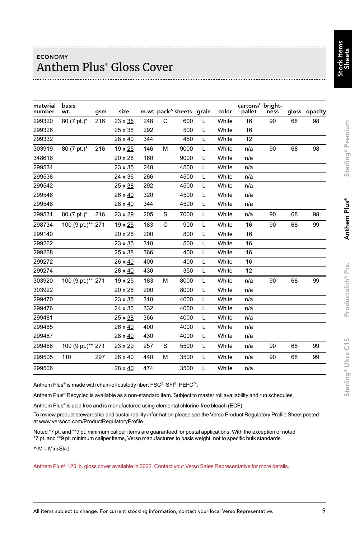## ECONOMY Anthem Plus® Gloss Cover

| material<br>number | basis<br>wt.      | gsm | size    |     |              | m.wt. pack^ sheets grain |   | color | cartons/ bright-<br>pallet | ness |    | gloss opacity |
|--------------------|-------------------|-----|---------|-----|--------------|--------------------------|---|-------|----------------------------|------|----|---------------|
| 299320             | 80 (7 pt.)*       | 216 | 23 x 35 | 248 | C            | 600                      | Г | White | 16                         | 90   | 68 | 98            |
| 299326             |                   |     | 25 x 38 | 292 |              | 500                      | L | White | 16                         |      |    |               |
| 299332             |                   |     | 28 x 40 | 344 |              | 450                      | L | White | 12                         |      |    |               |
| 303919             | 80 (7 pt.)*       | 216 | 19 x 25 | 146 | M            | 9000                     | L | White | n/a                        | 90   | 68 | 98            |
| 348616             |                   |     | 20 x 26 | 160 |              | 9000                     | L | White | n/a                        |      |    |               |
| 299534             |                   |     | 23 x 35 | 248 |              | 4500                     | L | White | n/a                        |      |    |               |
| 299538             |                   |     | 24 x 36 | 266 |              | 4500                     | L | White | n/a                        |      |    |               |
| 299542             |                   |     | 25 x 38 | 292 |              | 4500                     | L | White | n/a                        |      |    |               |
| 299546             |                   |     | 26 x 40 | 320 |              | 4500                     | L | White | n/a                        |      |    |               |
| 299548             |                   |     | 28 x 40 | 344 |              | 4500                     | L | White | n/a                        |      |    |               |
| 299531             | 80 (7 pt.)*       | 216 | 23 x 29 | 205 | S            | 7000                     | L | White | n/a                        | 90   | 68 | 98            |
| 298734             | 100 (9 pt.)** 271 |     | 19 x 25 | 183 | $\mathsf{C}$ | 900                      | L | White | 16                         | 90   | 68 | 99            |
| 299140             |                   |     | 20 x 26 | 200 |              | 800                      | L | White | 16                         |      |    |               |
| 299262             |                   |     | 23 x 35 | 310 |              | 500                      | L | White | 16                         |      |    |               |
| 299268             |                   |     | 25 x 38 | 366 |              | 400                      | L | White | 16                         |      |    |               |
| 299272             |                   |     | 26 x 40 | 400 |              | 400                      | L | White | 16                         |      |    |               |
| 299274             |                   |     | 28 x 40 | 430 |              | 350                      | L | White | 12                         |      |    |               |
| 303920             | 100 (9 pt.)** 271 |     | 19 x 25 | 183 | M            | 8000                     | L | White | n/a                        | 90   | 68 | 99            |
| 303922             |                   |     | 20 x 26 | 200 |              | 8000                     | L | White | n/a                        |      |    |               |
| 299470             |                   |     | 23 x 35 | 310 |              | 4000                     | L | White | n/a                        |      |    |               |
| 299476             |                   |     | 24 x 36 | 332 |              | 4000                     | L | White | n/a                        |      |    |               |
| 299481             |                   |     | 25 x 38 | 366 |              | 4000                     | L | White | n/a                        |      |    |               |
| 299485             |                   |     | 26 x 40 | 400 |              | 4000                     | L | White | n/a                        |      |    |               |
| 299487             |                   |     | 28 x 40 | 430 |              | 4000                     | L | White | n/a                        |      |    |               |
| 299466             | 100 (9 pt.)** 271 |     | 23 x 29 | 257 | S            | 5500                     | Г | White | n/a                        | 90   | 68 | 99            |
| 299505             | 110               | 297 | 26 x 40 | 440 | М            | 3500                     | L | White | n/a                        | 90   | 68 | 99            |
| 299506             |                   |     | 28 x 40 | 474 |              | 3500                     | L | White | n/a                        |      |    |               |

Anthem Plus® is made with chain-of-custody fiber: FSC®, SFI®, PEFC™.

Anthem Plus® Recycled is available as a non-standard item. Subject to master roll availability and run schedules.

Anthem Plus® is acid free and is manufactured using elemental chlorine-free bleach (ECF).

To review product stewardship and sustainability information please see the Verso Product Regulatory Profile Sheet posted at www.versoco.com/ProductRegulatoryProfile.

Noted \*7 pt. and \*\*9 pt. minimum caliper items are guaranteed for postal applications. With the exception of noted \*7 pt. and \*\*9 pt. minimum caliper items, Verso manufactures to basis weight, not to specific bulk standards.

^ M = Mini Skid

Anthem Plus® 120 lb. gloss cover available in 2022. Contact your Verso Sales Representative for more details.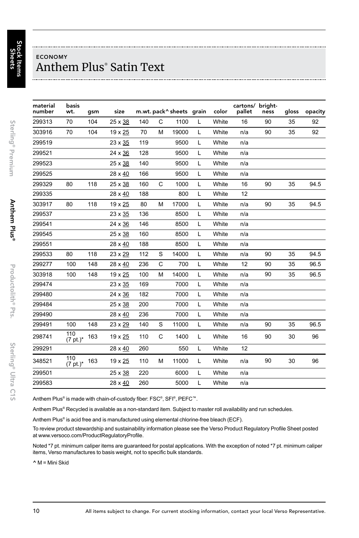## ECONOMY Anthem Plus® Satin Text

| material<br>number | basis<br>wt.       | gsm | size    |     |   | m.wt. pack^sheets grain |   | color | cartons/ bright-<br>pallet | ness | gloss | opacity |
|--------------------|--------------------|-----|---------|-----|---|-------------------------|---|-------|----------------------------|------|-------|---------|
| 299313             | 70                 | 104 | 25 x 38 | 140 | C | 1100                    | L | White | 16                         | 90   | 35    | 92      |
| 303916             | 70                 | 104 | 19 x 25 | 70  | M | 19000                   | L | White | n/a                        | 90   | 35    | 92      |
| 299519             |                    |     | 23 x 35 | 119 |   | 9500                    | L | White | n/a                        |      |       |         |
| 299521             |                    |     | 24 x 36 | 128 |   | 9500                    | L | White | n/a                        |      |       |         |
| 299523             |                    |     | 25 x 38 | 140 |   | 9500                    | L | White | n/a                        |      |       |         |
| 299525             |                    |     | 28 x 40 | 166 |   | 9500                    | L | White | n/a                        |      |       |         |
| 299329             | 80                 | 118 | 25 x 38 | 160 | C | 1000                    | L | White | 16                         | 90   | 35    | 94.5    |
| 299335             |                    |     | 28 x 40 | 188 |   | 800                     | L | White | 12                         |      |       |         |
| 303917             | 80                 | 118 | 19 x 25 | 80  | M | 17000                   | Г | White | n/a                        | 90   | 35    | 94.5    |
| 299537             |                    |     | 23 x 35 | 136 |   | 8500                    | L | White | n/a                        |      |       |         |
| 299541             |                    |     | 24 x 36 | 146 |   | 8500                    | L | White | n/a                        |      |       |         |
| 299545             |                    |     | 25 x 38 | 160 |   | 8500                    | L | White | n/a                        |      |       |         |
| 299551             |                    |     | 28 x 40 | 188 |   | 8500                    | L | White | n/a                        |      |       |         |
| 299533             | 80                 | 118 | 23 x 29 | 112 | S | 14000                   | L | White | n/a                        | 90   | 35    | 94.5    |
| 299277             | 100                | 148 | 28 x 40 | 236 | C | 700                     | L | White | 12                         | 90   | 35    | 96.5    |
| 303918             | 100                | 148 | 19 x 25 | 100 | M | 14000                   | L | White | n/a                        | 90   | 35    | 96.5    |
| 299474             |                    |     | 23 x 35 | 169 |   | 7000                    | L | White | n/a                        |      |       |         |
| 299480             |                    |     | 24 x 36 | 182 |   | 7000                    | L | White | n/a                        |      |       |         |
| 299484             |                    |     | 25 x 38 | 200 |   | 7000                    | L | White | n/a                        |      |       |         |
| 299490             |                    |     | 28 x 40 | 236 |   | 7000                    | L | White | n/a                        |      |       |         |
| 299491             | 100                | 148 | 23 x 29 | 140 | S | 11000                   | L | White | n/a                        | 90   | 35    | 96.5    |
| 298741             | 110<br>$(7 pt.)^*$ | 163 | 19 x 25 | 110 | C | 1400                    | Г | White | 16                         | 90   | 30    | 96      |
| 299291             |                    |     | 28 x 40 | 260 |   | 550                     | L | White | 12                         |      |       |         |
| 348521             | 110<br>$(7 pt.)^*$ | 163 | 19 x 25 | 110 | M | 11000                   | Г | White | n/a                        | 90   | 30    | 96      |
| 299501             |                    |     | 25 x 38 | 220 |   | 6000                    | L | White | n/a                        |      |       |         |
| 299583             |                    |     | 28 x 40 | 260 |   | 5000                    | L | White | n/a                        |      |       |         |

Anthem Plus® is made with chain-of-custody fiber: FSC®, SFI®, PEFC™.

Anthem Plus® Recycled is available as a non-standard item. Subject to master roll availability and run schedules.

Anthem Plus® is acid free and is manufactured using elemental chlorine-free bleach (ECF).

To review product stewardship and sustainability information please see the Verso Product Regulatory Profile Sheet posted at www.versoco.com/ProductRegulatoryProfile.

Noted \*7 pt. minimum caliper items are guaranteed for postal applications. With the exception of noted \*7 pt. minimum caliper items, Verso manufactures to basis weight, not to specific bulk standards.

 $\wedge$  M = Mini Skid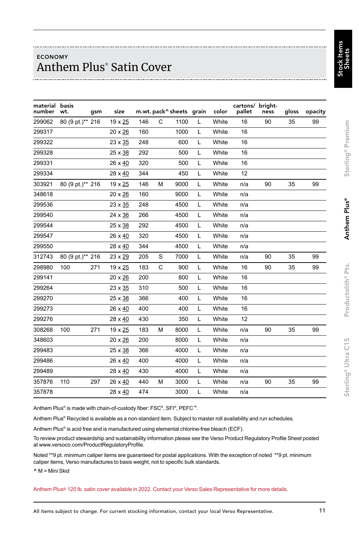## ECONOMY Anthem Plus® Satin Cover

| material basis<br>number | wt.              | gsm | size    |     | m.wt. pack^ sheets grain |      |   | color | cartons/ bright-<br>pallet | ness | gloss | opacity |
|--------------------------|------------------|-----|---------|-----|--------------------------|------|---|-------|----------------------------|------|-------|---------|
| 299062                   | 80 (9 pt.)** 216 |     | 19 x 25 | 146 | C                        | 1100 | L | White | 16                         | 90   | 35    | 99      |
| 299317                   |                  |     | 20 x 26 | 160 |                          | 1000 | L | White | 16                         |      |       |         |
| 299322                   |                  |     | 23 x 35 | 248 |                          | 600  | L | White | 16                         |      |       |         |
| 299328                   |                  |     | 25 x 38 | 292 |                          | 500  | L | White | 16                         |      |       |         |
| 299331                   |                  |     | 26 x 40 | 320 |                          | 500  | L | White | 16                         |      |       |         |
| 299334                   |                  |     | 28 x 40 | 344 |                          | 450  | L | White | 12                         |      |       |         |
| 303921                   | 80 (9 pt.)** 216 |     | 19 x 25 | 146 | M                        | 9000 | L | White | n/a                        | 90   | 35    | 99      |
| 348618                   |                  |     | 20 x 26 | 160 |                          | 9000 | L | White | n/a                        |      |       |         |
| 299536                   |                  |     | 23 x 35 | 248 |                          | 4500 | L | White | n/a                        |      |       |         |
| 299540                   |                  |     | 24 x 36 | 266 |                          | 4500 | L | White | n/a                        |      |       |         |
| 299544                   |                  |     | 25 x 38 | 292 |                          | 4500 | L | White | n/a                        |      |       |         |
| 299547                   |                  |     | 26 x 40 | 320 |                          | 4500 | L | White | n/a                        |      |       |         |
| 299550                   |                  |     | 28 x 40 | 344 |                          | 4500 | L | White | n/a                        |      |       |         |
| 312743                   | 80 (9 pt.)** 216 |     | 23 x 29 | 205 | S                        | 7000 | L | White | n/a                        | 90   | 35    | 99      |
| 298980                   | 100              | 271 | 19 x 25 | 183 | C                        | 900  | L | White | 16                         | 90   | 35    | 99      |
| 299141                   |                  |     | 20 x 26 | 200 |                          | 800  | L | White | 16                         |      |       |         |
| 299264                   |                  |     | 23 x 35 | 310 |                          | 500  | L | White | 16                         |      |       |         |
| 299270                   |                  |     | 25 x 38 | 366 |                          | 400  | L | White | 16                         |      |       |         |
| 299273                   |                  |     | 26 x 40 | 400 |                          | 400  | L | White | 16                         |      |       |         |
| 299276                   |                  |     | 28 x 40 | 430 |                          | 350  | L | White | 12                         |      |       |         |
| 308268                   | 100              | 271 | 19 x 25 | 183 | M                        | 8000 | L | White | n/a                        | 90   | 35    | 99      |
| 348603                   |                  |     | 20 x 26 | 200 |                          | 8000 | L | White | n/a                        |      |       |         |
| 299483                   |                  |     | 25 x 38 | 366 |                          | 4000 | L | White | n/a                        |      |       |         |
| 299486                   |                  |     | 26 x 40 | 400 |                          | 4000 | L | White | n/a                        |      |       |         |
| 299489                   |                  |     | 28 x 40 | 430 |                          | 4000 | L | White | n/a                        |      |       |         |
| 357876                   | 110              | 297 | 26 x 40 | 440 | M                        | 3000 | L | White | n/a                        | 90   | 35    | 99      |
| 357878                   |                  |     | 28 x 40 | 474 |                          | 3000 | L | White | n/a                        |      |       |         |

Anthem Plus® is made with chain-of-custody fiber: FSC®, SFI®, PEFC™.

Anthem Plus® Recycled is available as a non-standard item. Subject to master roll availability and run schedules.

Anthem Plus® is acid free and is manufactured using elemental chlorine-free bleach (ECF).

To review product stewardship and sustainability information please see the Verso Product Regulatory Profile Sheet posted at www.versoco.com/ProductRegulatoryProfile.

Noted \*\*9 pt. minimum caliper items are guaranteed for postal applications. With the exception of noted \*\*9 pt. minimum caliper items, Verso manufactures to basis weight, not to specific bulk standards.

 $^{\wedge}$  M = Mini Skid

Anthem Plus® 120 lb. satin cover available in 2022. Contact your Verso Sales Representative for more details.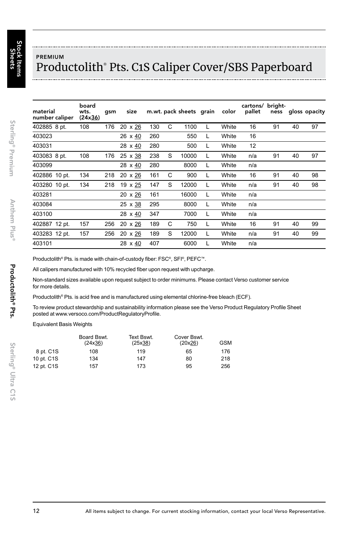Sterling® Premium

Sterling<sup>®</sup> Premium

Anthem

Plus®

Productolith® Pts.

Productolith<sup>®</sup> Pts.

## PREMIUM Productolith® Pts. C1S Caliper Cover/SBS Paperboard

| material<br>number caliper | board<br>wts.<br>(24x36) | qsm | size           |     |   | m.wt. pack sheets grain |   | color | cartons/ bright-<br>pallet | ness |    | gloss opacity |
|----------------------------|--------------------------|-----|----------------|-----|---|-------------------------|---|-------|----------------------------|------|----|---------------|
| 402885 8 pt.               | 108                      | 176 | 20 x 26        | 130 | C | 1100                    |   | White | 16                         | 91   | 40 | 97            |
| 403023                     |                          |     | 26 x 40        | 260 |   | 550                     | L | White | 16                         |      |    |               |
| 403031                     |                          |     | 28 x 40        | 280 |   | 500                     | L | White | 12                         |      |    |               |
| 403083 8 pt.               | 108                      | 176 | $25 \times 38$ | 238 | S | 10000                   |   | White | n/a                        | 91   | 40 | 97            |
| 403099                     |                          |     | 28 $\times$ 40 | 280 |   | 8000                    |   | White | n/a                        |      |    |               |
| 402886 10 pt.              | 134                      | 218 | 20 x 26        | 161 | C | 900                     | L | White | 16                         | 91   | 40 | 98            |
| 403280 10 pt.              | 134                      | 218 | 19 x 25        | 147 | S | 12000                   |   | White | n/a                        | 91   | 40 | 98            |
| 403281                     |                          |     | 20 x 26        | 161 |   | 16000                   | L | White | n/a                        |      |    |               |
| 403084                     |                          |     | $25 \times 38$ | 295 |   | 8000                    |   | White | n/a                        |      |    |               |
| 403100                     |                          |     | 28 x 40        | 347 |   | 7000                    | L | White | n/a                        |      |    |               |
| 402887 12 pt.              | 157                      | 256 | 20 x 26        | 189 | C | 750                     | L | White | 16                         | 91   | 40 | 99            |
| 403283 12 pt.              | 157                      | 256 | 20 x 26        | 189 | S | 12000                   |   | White | n/a                        | 91   | 40 | 99            |
| 403101                     |                          |     | 28 x 40        | 407 |   | 6000                    |   | White | n/a                        |      |    |               |

Productolith® Pts. is made with chain-of-custody fiber: FSC®, SFI®, PEFC™.

All calipers manufactured with 10% recycled fiber upon request with upcharge.

Non-standard sizes available upon request subject to order minimums. Please contact Verso customer service for more details.

Productolith® Pts. is acid free and is manufactured using elemental chlorine-free bleach (ECF).

To review product stewardship and sustainability information please see the Verso Product Regulatory Profile Sheet posted at www.versoco.com/ProductRegulatoryProfile.

Equivalent Basis Weights

|            | Board Bswt.<br>(24x36) | Text Bswt.<br>(25x38) | Cover Bswt.<br>(20x26) | <b>GSM</b> |
|------------|------------------------|-----------------------|------------------------|------------|
| 8 pt. C1S  | 108                    | 119                   | 65                     | 176        |
| 10 pt. C1S | 134                    | 147                   | 80                     | 218        |
| 12 pt. C1S | 157                    | 173                   | 95                     | 256        |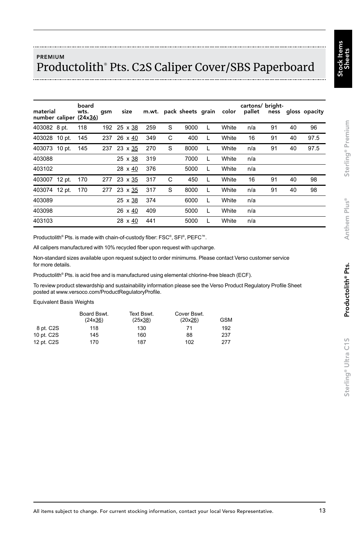## PREMIUM Productolith® Pts. C2S Caliper Cover/SBS Paperboard

| material      | board<br>wts.<br>number caliper (24x36) | qsm | size        |     |   | m.wt. pack sheets grain |   | color | cartons/ bright- |    |    | pallet ness gloss opacity |
|---------------|-----------------------------------------|-----|-------------|-----|---|-------------------------|---|-------|------------------|----|----|---------------------------|
| 403082 8 pt.  | 118                                     |     | 192 25 x 38 | 259 | S | 9000                    | L | White | n/a              | 91 | 40 | 96                        |
| 403028 10 pt. | 145                                     | 237 | 26 x 40     | 349 | C | 400                     | L | White | 16               | 91 | 40 | 97.5                      |
| 403073 10 pt. | 145                                     | 237 | 23 x 35     | 270 | S | 8000                    | L | White | n/a              | 91 | 40 | 97.5                      |
| 403088        |                                         |     | 25 x 38     | 319 |   | 7000                    | L | White | n/a              |    |    |                           |
| 403102        |                                         |     | 28 x 40     | 376 |   | 5000                    | L | White | n/a              |    |    |                           |
| 403007 12 pt. | 170                                     | 277 | 23 x 35     | 317 | C | 450                     | L | White | 16               | 91 | 40 | 98                        |
| 403074 12 pt. | 170                                     | 277 | 23 x 35     | 317 | S | 8000                    | L | White | n/a              | 91 | 40 | 98                        |
| 403089        |                                         |     | 25 x 38     | 374 |   | 6000                    | L | White | n/a              |    |    |                           |
| 403098        |                                         |     | 26 x 40     | 409 |   | 5000                    | L | White | n/a              |    |    |                           |
| 403103        |                                         |     | 28 x 40     | 441 |   | 5000                    |   | White | n/a              |    |    |                           |

Productolith® Pts. is made with chain-of-custody fiber: FSC®, SFI®, PEFC™.

All calipers manufactured with 10% recycled fiber upon request with upcharge.

Non-standard sizes available upon request subject to order minimums. Please contact Verso customer service for more details.

Productolith® Pts. is acid free and is manufactured using elemental chlorine-free bleach (ECF).

To review product stewardship and sustainability information please see the Verso Product Regulatory Profile Sheet posted at www.versoco.com/ProductRegulatoryProfile.

Equivalent Basis Weights

|            | Board Bswt.<br>(24x36) | Text Bswt.<br>(25x38) | Cover Bswt.<br>(20x26) | <b>GSM</b> |
|------------|------------------------|-----------------------|------------------------|------------|
| 8 pt. C2S  | 118                    | 130                   | 71                     | 192        |
| 10 pt. C2S | 145                    | 160                   | 88                     | 237        |
| 12 pt. C2S | 170                    | 187                   | 102                    | 277        |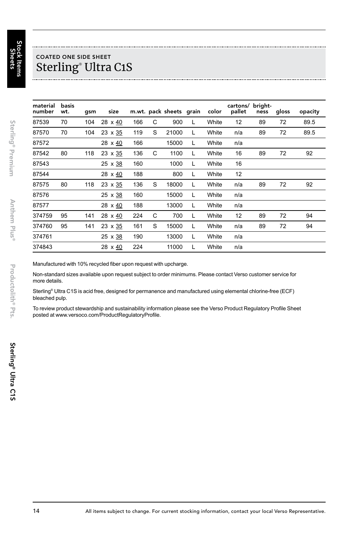## COATED ONE SIDE SHEET Sterling® Ultra C1S

| material<br>number | basis<br>wt. | gsm | size           |     |   | m.wt. pack sheets grain |   | color | cartons/<br>pallet | bright-<br>ness | gloss | opacity |
|--------------------|--------------|-----|----------------|-----|---|-------------------------|---|-------|--------------------|-----------------|-------|---------|
| 87539              | 70           | 104 | 28 x 40        | 166 | C | 900                     | L | White | 12                 | 89              | 72    | 89.5    |
| 87570              | 70           | 104 | 23 x 35        | 119 | S | 21000                   | L | White | n/a                | 89              | 72    | 89.5    |
| 87572              |              |     | 28 x 40        | 166 |   | 15000                   | L | White | n/a                |                 |       |         |
| 87542              | 80           | 118 | 23 x 35        | 136 | C | 1100                    | L | White | 16                 | 89              | 72    | 92      |
| 87543              |              |     | $25 \times 38$ | 160 |   | 1000                    | L | White | 16                 |                 |       |         |
| 87544              |              |     | 28 x 40        | 188 |   | 800                     | L | White | 12                 |                 |       |         |
| 87575              | 80           | 118 | 23 x 35        | 136 | S | 18000                   | L | White | n/a                | 89              | 72    | 92      |
| 87576              |              |     | 25 x 38        | 160 |   | 15000                   | L | White | n/a                |                 |       |         |
| 87577              |              |     | 28 x 40        | 188 |   | 13000                   | L | White | n/a                |                 |       |         |
| 374759             | 95           | 141 | 28 x 40        | 224 | C | 700                     | L | White | 12                 | 89              | 72    | 94      |
| 374760             | 95           | 141 | 23 x 35        | 161 | S | 15000                   | L | White | n/a                | 89              | 72    | 94      |
| 374761             |              |     | 25 x 38        | 190 |   | 13000                   | L | White | n/a                |                 |       |         |
| 374843             |              |     | 28 x 40        | 224 |   | 11000                   |   | White | n/a                |                 |       |         |

Manufactured with 10% recycled fiber upon request with upcharge.

Non-standard sizes available upon request subject to order minimums. Please contact Verso customer service for more details.

Sterling® Ultra C1S is acid free, designed for permanence and manufactured using elemental chlorine-free (ECF) bleached pulp.

To review product stewardship and sustainability information please see the Verso Product Regulatory Profile Sheet posted at www.versoco.com/ProductRegulatoryProfile.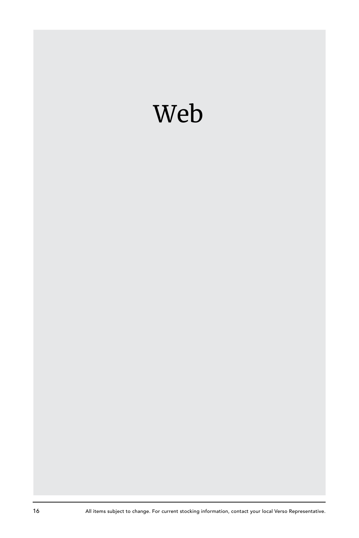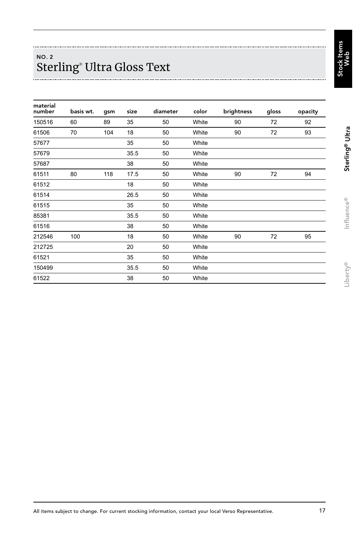## NO. 2 Sterling® Ultra Gloss Text

| material<br>number | basis wt. | gsm | size | diameter | color | brightness | gloss | opacity |
|--------------------|-----------|-----|------|----------|-------|------------|-------|---------|
| 150516             | 60        | 89  | 35   | 50       | White | 90         | 72    | 92      |
| 61506              | 70        | 104 | 18   | 50       | White | 90         | 72    | 93      |
| 57677              |           |     | 35   | 50       | White |            |       |         |
| 57679              |           |     | 35.5 | 50       | White |            |       |         |
| 57687              |           |     | 38   | 50       | White |            |       |         |
| 61511              | 80        | 118 | 17.5 | 50       | White | 90         | 72    | 94      |
| 61512              |           |     | 18   | 50       | White |            |       |         |
| 61514              |           |     | 26.5 | 50       | White |            |       |         |
| 61515              |           |     | 35   | 50       | White |            |       |         |
| 85381              |           |     | 35.5 | 50       | White |            |       |         |
| 61516              |           |     | 38   | 50       | White |            |       |         |
| 212546             | 100       |     | 18   | 50       | White | 90         | 72    | 95      |
| 212725             |           |     | 20   | 50       | White |            |       |         |
| 61521              |           |     | 35   | 50       | White |            |       |         |
| 150499             |           |     | 35.5 | 50       | White |            |       |         |
| 61522              |           |     | 38   | 50       | White |            |       |         |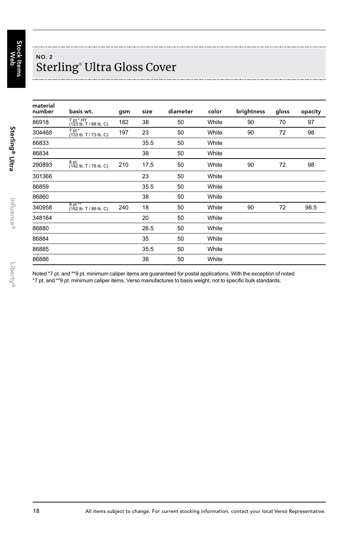## NO. 2 Sterling® Ultra Gloss Cover

| material<br>number | basis wt.                           | gsm | size | diameter | color | brightness | gloss | opacity |
|--------------------|-------------------------------------|-----|------|----------|-------|------------|-------|---------|
| 86918              | 7 pt.* HY<br>(123 lb. T / 68 lb. C) | 182 | 38   | 50       | White | 90         | 70    | 97      |
| 304468             | 7 pt.*<br>(133 lb. T / 73 lb. C)    | 197 | 23   | 50       | White | 90         | 72    | 98      |
| 86833              |                                     |     | 35.5 | 50       | White |            |       |         |
| 86834              |                                     |     | 38   | 50       | White |            |       |         |
| 290893             | 8 pt.<br>(142 lb. T / 78 lb. C)     | 210 | 17.5 | 50       | White | 90         | 72    | 98      |
| 301366             |                                     |     | 23   | 50       | White |            |       |         |
| 86859              |                                     |     | 35.5 | 50       | White |            |       |         |
| 86860              |                                     |     | 38   | 50       | White |            |       |         |
| 340958             | 9 pt.**<br>(162 lb. T / 89 lb. C)   | 240 | 18   | 50       | White | 90         | 72    | 98.5    |
| 348164             |                                     |     | 20   | 50       | White |            |       |         |
| 86880              |                                     |     | 26.5 | 50       | White |            |       |         |
| 86884              |                                     |     | 35   | 50       | White |            |       |         |
| 86885              |                                     |     | 35.5 | 50       | White |            |       |         |
| 86886              |                                     |     | 38   | 50       | White |            |       |         |

Noted \*7 pt. and \*\*9 pt. minimum caliper items are guaranteed for postal applications. With the exception of noted

\*7 pt. and \*\*9 pt. minimum caliper items, Verso manufactures to basis weight, not to specific bulk standards.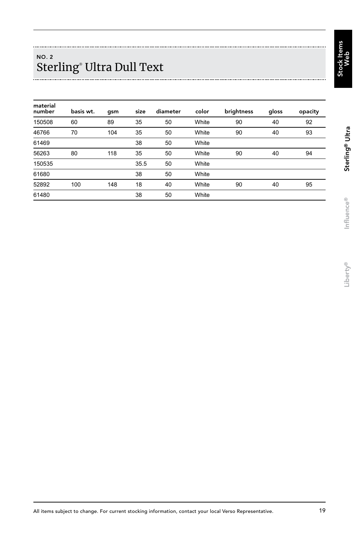tems Stock Items Web

## NO. 2 Sterling® Ultra Dull Text

| material<br>number | basis wt. | qsm | size | diameter | color | brightness | gloss | opacity |
|--------------------|-----------|-----|------|----------|-------|------------|-------|---------|
| 150508             | 60        | 89  | 35   | 50       | White | 90         | 40    | 92      |
| 46766              | 70        | 104 | 35   | 50       | White | 90         | 40    | 93      |
| 61469              |           |     | 38   | 50       | White |            |       |         |
| 56263              | 80        | 118 | 35   | 50       | White | 90         | 40    | 94      |
| 150535             |           |     | 35.5 | 50       | White |            |       |         |
| 61680              |           |     | 38   | 50       | White |            |       |         |
| 52892              | 100       | 148 | 18   | 40       | White | 90         | 40    | 95      |
| 61480              |           |     | 38   | 50       | White |            |       |         |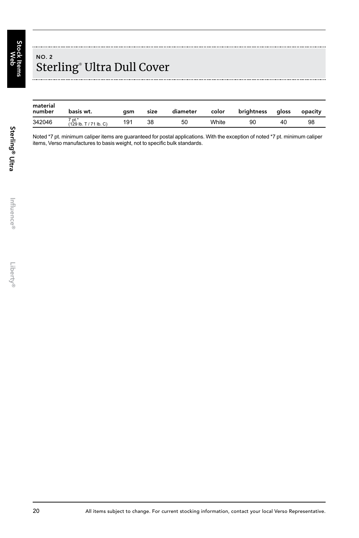Stock Items ≶<br>ବ

## NO. 2 Sterling® Ultra Dull Cover

| material<br>number | basis wt.                          | asm | size | diameter | color | brightness | aloss | opacity |
|--------------------|------------------------------------|-----|------|----------|-------|------------|-------|---------|
| 342046             | 7 pt.*<br>$(129$ lb, T / 71 lb, C) | 191 | 38   | 50       | White | 90         | 40    | 98      |

Noted \*7 pt. minimum caliper items are quaranteed for postal applications. With the exception of noted \*7 pt. minimum caliper items, Verso manufactures to basis weight, not to specific bulk standards.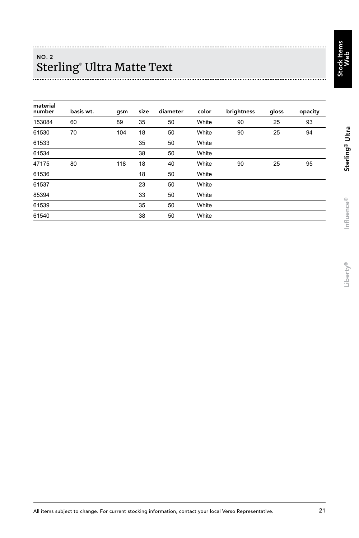tems Stock Items Web

## NO. 2 Sterling® Ultra Matte Text

| material<br>number | basis wt. | gsm | size | diameter | color | brightness | gloss | opacity |
|--------------------|-----------|-----|------|----------|-------|------------|-------|---------|
| 153084             | 60        | 89  | 35   | 50       | White | 90         | 25    | 93      |
| 61530              | 70        | 104 | 18   | 50       | White | 90         | 25    | 94      |
| 61533              |           |     | 35   | 50       | White |            |       |         |
| 61534              |           |     | 38   | 50       | White |            |       |         |
| 47175              | 80        | 118 | 18   | 40       | White | 90         | 25    | 95      |
| 61536              |           |     | 18   | 50       | White |            |       |         |
| 61537              |           |     | 23   | 50       | White |            |       |         |
| 85394              |           |     | 33   | 50       | White |            |       |         |
| 61539              |           |     | 35   | 50       | White |            |       |         |
| 61540              |           |     | 38   | 50       | White |            |       |         |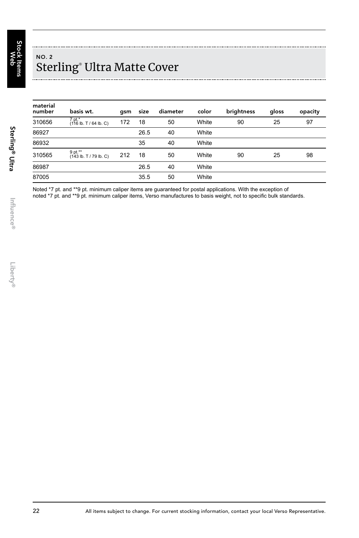## NO. 2 Sterling® Ultra Matte Cover

| material<br>number | basis wt.                         | qsm | size | diameter | color | brightness | gloss | opacity |
|--------------------|-----------------------------------|-----|------|----------|-------|------------|-------|---------|
| 310656             | 7 pt.*<br>(116 lb. T / 64 lb. C)  | 172 | 18   | 50       | White | 90         | 25    | 97      |
| 86927              |                                   |     | 26.5 | 40       | White |            |       |         |
| 86932              |                                   |     | 35   | 40       | White |            |       |         |
| 310565             | 9 pt.**<br>(143 lb. T / 79 lb. C) | 212 | 18   | 50       | White | 90         | 25    | 98      |
| 86987              |                                   |     | 26.5 | 40       | White |            |       |         |
| 87005              |                                   |     | 35.5 | 50       | White |            |       |         |

Noted \*7 pt. and \*\*9 pt. minimum caliper items are guaranteed for postal applications. With the exception of noted \*7 pt. and \*\*9 pt. minimum caliper items, Verso manufactures to basis weight, not to specific bulk standards.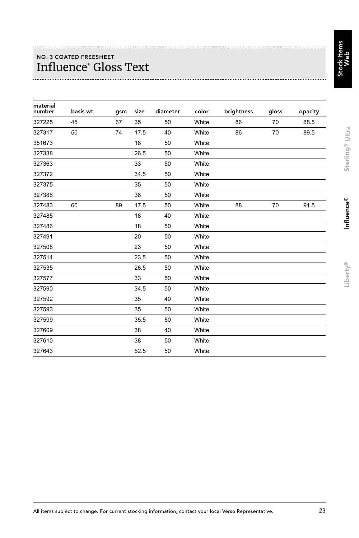## NO. 3 COATED FREESHEET Influence® Gloss Text

| material<br>number | basis wt. | gsm | size | diameter | color | brightness | gloss | opacity |
|--------------------|-----------|-----|------|----------|-------|------------|-------|---------|
| 327225             | 45        | 67  | 35   | 50       | White | 86         | 70    | 88.5    |
| 327317             | 50        | 74  | 17.5 | 40       | White | 86         | 70    | 89.5    |
| 351673             |           |     | 18   | 50       | White |            |       |         |
| 327338             |           |     | 26.5 | 50       | White |            |       |         |
| 327363             |           |     | 33   | 50       | White |            |       |         |
| 327372             |           |     | 34.5 | 50       | White |            |       |         |
| 327375             |           |     | 35   | 50       | White |            |       |         |
| 327388             |           |     | 38   | 50       | White |            |       |         |
| 327483             | 60        | 89  | 17.5 | 50       | White | 88         | 70    | 91.5    |
| 327485             |           |     | 18   | 40       | White |            |       |         |
| 327486             |           |     | 18   | 50       | White |            |       |         |
| 327491             |           |     | 20   | 50       | White |            |       |         |
| 327508             |           |     | 23   | 50       | White |            |       |         |
| 327514             |           |     | 23.5 | 50       | White |            |       |         |
| 327535             |           |     | 26.5 | 50       | White |            |       |         |
| 327577             |           |     | 33   | 50       | White |            |       |         |
| 327590             |           |     | 34.5 | 50       | White |            |       |         |
| 327592             |           |     | 35   | 40       | White |            |       |         |
| 327593             |           |     | 35   | 50       | White |            |       |         |
| 327599             |           |     | 35.5 | 50       | White |            |       |         |
| 327609             |           |     | 38   | 40       | White |            |       |         |
| 327610             |           |     | 38   | 50       | White |            |       |         |
| 327643             |           |     | 52.5 | 50       | White |            |       |         |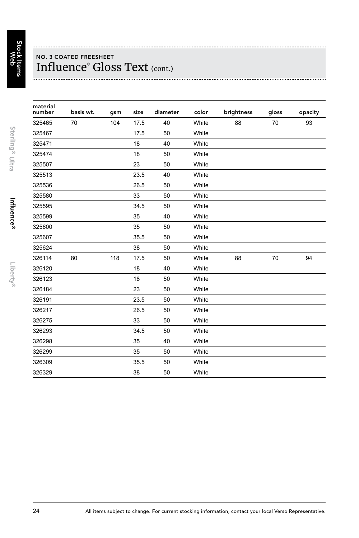## NO. 3 COATED FREESHEET Influence® Gloss Text (cont.)

| material<br>number | basis wt. | gsm | size | diameter | color | brightness | gloss | opacity |
|--------------------|-----------|-----|------|----------|-------|------------|-------|---------|
| 325465             | 70        | 104 | 17.5 | 40       | White | 88         | 70    | 93      |
| 325467             |           |     | 17.5 | 50       | White |            |       |         |
| 325471             |           |     | 18   | 40       | White |            |       |         |
| 325474             |           |     | 18   | 50       | White |            |       |         |
| 325507             |           |     | 23   | 50       | White |            |       |         |
| 325513             |           |     | 23.5 | 40       | White |            |       |         |
| 325536             |           |     | 26.5 | 50       | White |            |       |         |
| 325580             |           |     | 33   | 50       | White |            |       |         |
| 325595             |           |     | 34.5 | 50       | White |            |       |         |
| 325599             |           |     | 35   | 40       | White |            |       |         |
| 325600             |           |     | 35   | 50       | White |            |       |         |
| 325607             |           |     | 35.5 | 50       | White |            |       |         |
| 325624             |           |     | 38   | 50       | White |            |       |         |
| 326114             | 80        | 118 | 17.5 | 50       | White | 88         | 70    | 94      |
| 326120             |           |     | 18   | 40       | White |            |       |         |
| 326123             |           |     | 18   | 50       | White |            |       |         |
| 326184             |           |     | 23   | 50       | White |            |       |         |
| 326191             |           |     | 23.5 | 50       | White |            |       |         |
| 326217             |           |     | 26.5 | 50       | White |            |       |         |
| 326275             |           |     | 33   | 50       | White |            |       |         |
| 326293             |           |     | 34.5 | 50       | White |            |       |         |
| 326298             |           |     | 35   | 40       | White |            |       |         |
| 326299             |           |     | 35   | 50       | White |            |       |         |
| 326309             |           |     | 35.5 | 50       | White |            |       |         |
| 326329             |           |     | 38   | 50       | White |            |       |         |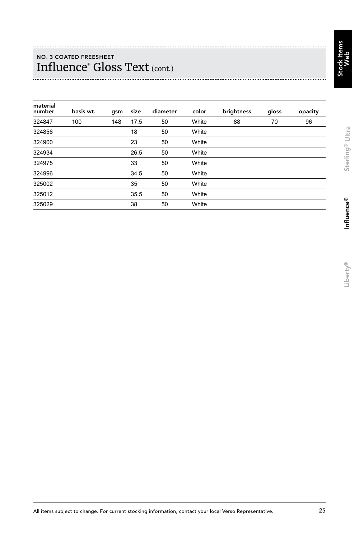### NO. 3 COATED FREESHEET Influence® Gloss Text (cont.)

| material<br>number | basis wt. | gsm | size | diameter | color | brightness | gloss | opacity |
|--------------------|-----------|-----|------|----------|-------|------------|-------|---------|
| 324847             | 100       | 148 | 17.5 | 50       | White | 88         | 70    | 96      |
| 324856             |           |     | 18   | 50       | White |            |       |         |
| 324900             |           |     | 23   | 50       | White |            |       |         |
| 324934             |           |     | 26.5 | 50       | White |            |       |         |
| 324975             |           |     | 33   | 50       | White |            |       |         |
| 324996             |           |     | 34.5 | 50       | White |            |       |         |
| 325002             |           |     | 35   | 50       | White |            |       |         |
| 325012             |           |     | 35.5 | 50       | White |            |       |         |
| 325029             |           |     | 38   | 50       | White |            |       |         |
|                    |           |     |      |          |       |            |       |         |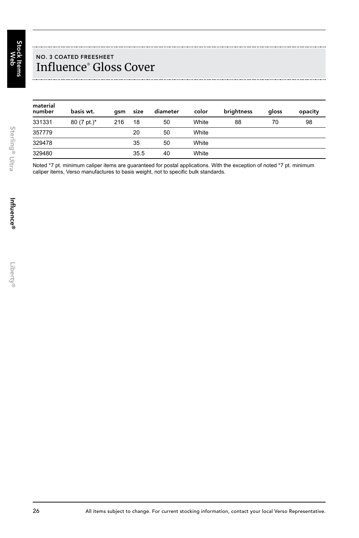## NO. 3 COATED FREESHEET Influence® Gloss Cover

| material<br>number | basis wt.      | asm | size | diameter | color | brightness | gloss | opacity |
|--------------------|----------------|-----|------|----------|-------|------------|-------|---------|
| 331331             | $80 (7 pt.)$ * | 216 | 18   | 50       | White | 88         | 70    | 98      |
| 357779             |                |     | 20   | 50       | White |            |       |         |
| 329478             |                |     | 35   | 50       | White |            |       |         |
| 329480             |                |     | 35.5 | 40       | White |            |       |         |

Noted \*7 pt. minimum caliper items are guaranteed for postal applications. With the exception of noted \*7 pt. minimum caliper items, Verso manufactures to basis weight, not to specific bulk standards.

Sterling® Ultra

Sterling<sup>®</sup> Ultra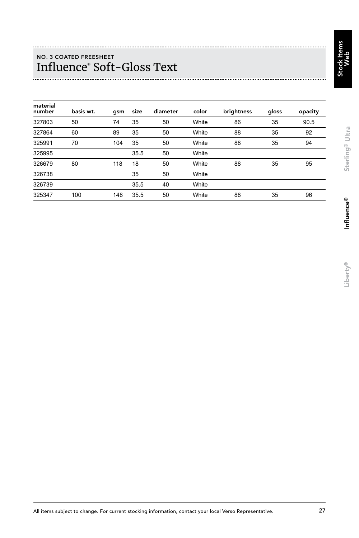suue: Stock Items Web

## NO. 3 COATED FREESHEET Influence® Soft-Gloss Text

| material<br>number | basis wt. | color<br>diameter<br>size<br>qsm |      | brightness | gloss | opacity |    |      |
|--------------------|-----------|----------------------------------|------|------------|-------|---------|----|------|
| 327803             | 50        | 74                               | 35   | 50         | White | 86      | 35 | 90.5 |
| 327864             | 60        | 89                               | 35   | 50         | White | 88      | 35 | 92   |
| 325991             | 70        | 104                              | 35   | 50         | White | 88      | 35 | 94   |
| 325995             |           |                                  | 35.5 | 50         | White |         |    |      |
| 326679             | 80        | 118                              | 18   | 50         | White | 88      | 35 | 95   |
| 326738             |           |                                  | 35   | 50         | White |         |    |      |
| 326739             |           |                                  | 35.5 | 40         | White |         |    |      |
| 325347             | 100       | 148                              | 35.5 | 50         | White | 88      | 35 | 96   |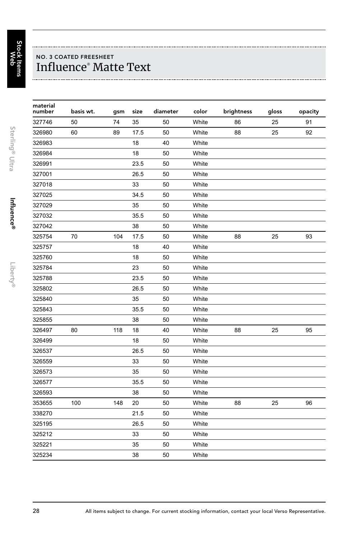## NO. 3 COATED FREESHEET Influence® Matte Text

| material<br>number | basis wt. | gsm | size | diameter | color | brightness | gloss | opacity |
|--------------------|-----------|-----|------|----------|-------|------------|-------|---------|
| 327746             | 50        | 74  | 35   | 50       | White | 86         | 25    | 91      |
| 326980             | 60        | 89  | 17.5 | 50       | White | 88         | 25    | 92      |
| 326983             |           |     | 18   | 40       | White |            |       |         |
| 326984             |           |     | 18   | 50       | White |            |       |         |
| 326991             |           |     | 23.5 | 50       | White |            |       |         |
| 327001             |           |     | 26.5 | 50       | White |            |       |         |
| 327018             |           |     | 33   | 50       | White |            |       |         |
| 327025             |           |     | 34.5 | 50       | White |            |       |         |
| 327029             |           |     | 35   | 50       | White |            |       |         |
| 327032             |           |     | 35.5 | 50       | White |            |       |         |
| 327042             |           |     | 38   | 50       | White |            |       |         |
| 325754             | 70        | 104 | 17.5 | 50       | White | 88         | 25    | 93      |
| 325757             |           |     | 18   | 40       | White |            |       |         |
| 325760             |           |     | 18   | 50       | White |            |       |         |
| 325784             |           |     | 23   | 50       | White |            |       |         |
| 325788             |           |     | 23.5 | 50       | White |            |       |         |
| 325802             |           |     | 26.5 | 50       | White |            |       |         |
| 325840             |           |     | 35   | 50       | White |            |       |         |
| 325843             |           |     | 35.5 | 50       | White |            |       |         |
| 325855             |           |     | 38   | 50       | White |            |       |         |
| 326497             | 80        | 118 | 18   | 40       | White | 88         | 25    | 95      |
| 326499             |           |     | 18   | 50       | White |            |       |         |
| 326537             |           |     | 26.5 | 50       | White |            |       |         |
| 326559             |           |     | 33   | 50       | White |            |       |         |
| 326573             |           |     | 35   | 50       | White |            |       |         |
| 326577             |           |     | 35.5 | 50       | White |            |       |         |
| 326593             |           |     | 38   | 50       | White |            |       |         |
| 353655             | 100       | 148 | 20   | 50       | White | 88         | 25    | 96      |
| 338270             |           |     | 21.5 | 50       | White |            |       |         |
| 325195             |           |     | 26.5 | 50       | White |            |       |         |
| 325212             |           |     | 33   | 50       | White |            |       |         |
| 325221             |           |     | 35   | 50       | White |            |       |         |
| 325234             |           |     | 38   | 50       | White |            |       |         |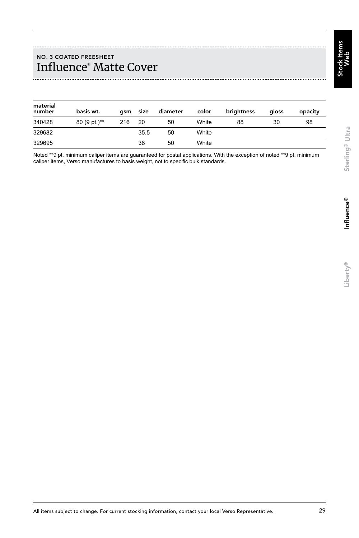## NO. 3 COATED FREESHEET Influence® Matte Cover

| material<br>number | basis wt.    | asm | size | diameter | color | brightness | aloss | opacity |
|--------------------|--------------|-----|------|----------|-------|------------|-------|---------|
| 340428             | 80 (9 pt.)** | 216 | 20   | 50       | White | 88         | 30    | 98      |
| 329682             |              |     | 35.5 | 50       | White |            |       |         |
| 329695             |              |     | 38   | 50       | White |            |       |         |

Noted \*\*9 pt. minimum caliper items are guaranteed for postal applications. With the exception of noted \*\*9 pt. minimum caliper items, Verso manufactures to basis weight, not to specific bulk standards.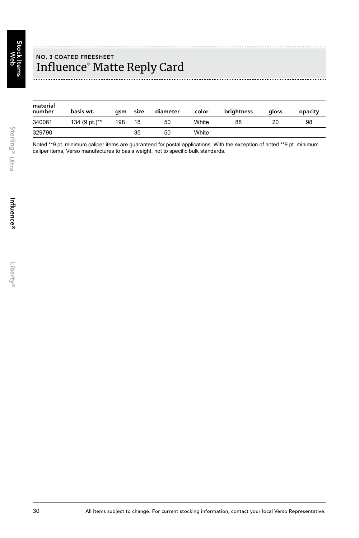## NO. 3 COATED FREESHEET Influence® Matte Reply Card

| material<br>number | basis wt.     | asm | size | diameter | color | brightness | aloss | opacity |
|--------------------|---------------|-----|------|----------|-------|------------|-------|---------|
| 340061             | 134 (9 pt.)** | 198 | 18   | 50       | White | 88         | 20    | 98      |
| 329790             |               |     | 35   | 50       | White |            |       |         |

Noted \*\*9 pt. minimum caliper items are guaranteed for postal applications. With the exception of noted \*\*9 pt. minimum caliper items, Verso manufactures to basis weight, not to specific bulk standards.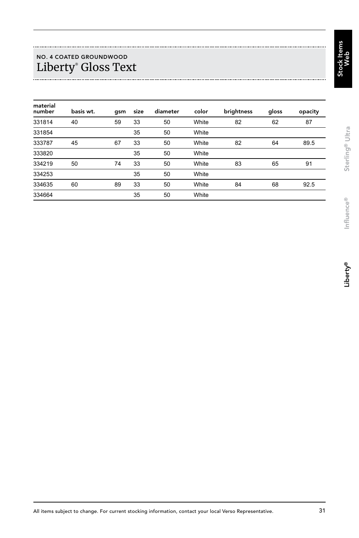## NO. 4 COATED GROUNDWOOD Liberty® Gloss Text

| material<br>number | basis wt. | qsm | size | diameter | color | brightness | gloss | opacity |
|--------------------|-----------|-----|------|----------|-------|------------|-------|---------|
| 331814             | 40        | 59  | 33   | 50       | White | 82         | 62    | 87      |
| 331854             |           |     | 35   | 50       | White |            |       |         |
| 333787             | 45        | 67  | 33   | 50       | White | 82         | 64    | 89.5    |
| 333820             |           |     | 35   | 50       | White |            |       |         |
| 334219             | 50        | 74  | 33   | 50       | White | 83         | 65    | 91      |
| 334253             |           |     | 35   | 50       | White |            |       |         |
| 334635             | 60        | 89  | 33   | 50       | White | 84         | 68    | 92.5    |
| 334664             |           |     | 35   | 50       | White |            |       |         |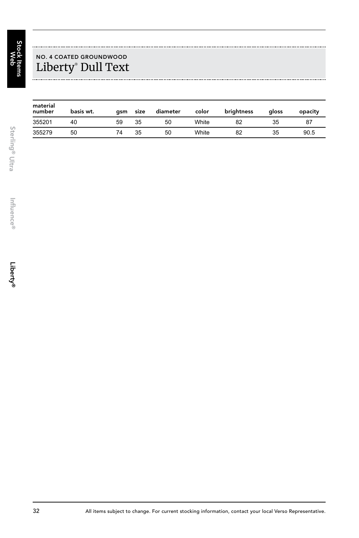

## NO. 4 COATED GROUNDWOOD Liberty® Dull Text

| material<br>number | basis wt. | asm | size | diameter | color | brightness | aloss | opacity |
|--------------------|-----------|-----|------|----------|-------|------------|-------|---------|
| 355201             | 40        | 59  | 35   | 50       | White | 82         | 35    | 87      |
| 355279             | 50        | 74  | 35   | 50       | White | 82         | 35    | 90.5    |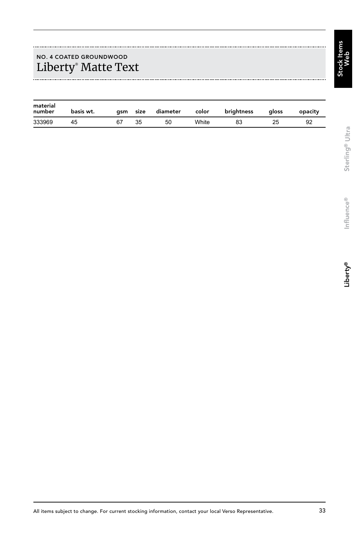## NO. 4 COATED GROUNDWOOD Liberty® Matte Text

| material<br>number | basis wt. | asm | size | diameter | color | brightness | aloss | opacity |
|--------------------|-----------|-----|------|----------|-------|------------|-------|---------|
| 333969             |           |     | 35   | 50       | White |            |       |         |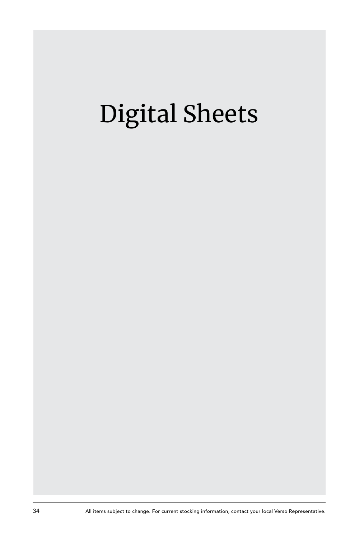# Digital Sheets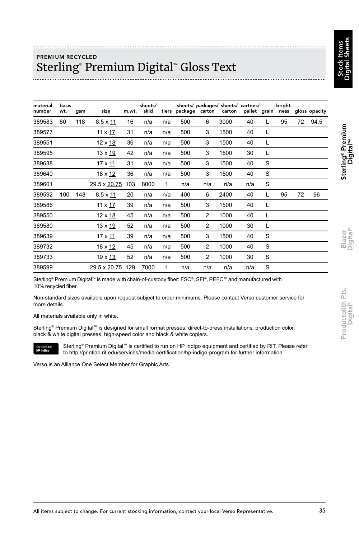Stock Items Digital Sheets

## PREMIUM RECYCLED Sterling® Premium Digital™ Gloss Text

| material<br>number | basis<br>wt. | qsm | size            | m.wt. | sheets/<br>skid |     | tiers package carton | sheets/ packages/ sheets/ cartons/ | carton |     |   | bright-<br>pallet grain ness |    | gloss opacity |
|--------------------|--------------|-----|-----------------|-------|-----------------|-----|----------------------|------------------------------------|--------|-----|---|------------------------------|----|---------------|
| 389583             | 80           | 118 | $8.5 \times 11$ | 16    | n/a             | n/a | 500                  | 6                                  | 3000   | 40  | L | 95                           | 72 | 94.5          |
| 389577             |              |     | 11 x 17         | 31    | n/a             | n/a | 500                  | 3                                  | 1500   | 40  | L |                              |    |               |
| 389551             |              |     | 12 x 18         | 36    | n/a             | n/a | 500                  | 3                                  | 1500   | 40  | L |                              |    |               |
| 389595             |              |     | 13 x 19         | 42    | n/a             | n/a | 500                  | 3                                  | 1500   | 30  | L |                              |    |               |
| 389638             |              |     | 17 x 11         | 31    | n/a             | n/a | 500                  | 3                                  | 1500   | 40  | S |                              |    |               |
| 389640             |              |     | 18 x 12         | 36    | n/a             | n/a | 500                  | 3                                  | 1500   | 40  | S |                              |    |               |
| 389601             |              |     | 29.5 x 20.75    | 103   | 8000            | 1   | n/a                  | n/a                                | n/a    | n/a | S |                              |    |               |
| 389592             | 100          | 148 | $8.5 \times 11$ | 20    | n/a             | n/a | 400                  | 6                                  | 2400   | 40  | L | 95                           | 72 | 96            |
| 389586             |              |     | 11 x <u>17</u>  | 39    | n/a             | n/a | 500                  | 3                                  | 1500   | 40  | L |                              |    |               |
| 389550             |              |     | 12 x 18         | 45    | n/a             | n/a | 500                  | 2                                  | 1000   | 40  | L |                              |    |               |
| 389580             |              |     | 13 x 19         | 52    | n/a             | n/a | 500                  | $\overline{2}$                     | 1000   | 30  | L |                              |    |               |
| 389639             |              |     | 17 x 11         | 39    | n/a             | n/a | 500                  | 3                                  | 1500   | 40  | S |                              |    |               |
| 389732             |              |     | 18 x 12         | 45    | n/a             | n/a | 500                  | $\overline{2}$                     | 1000   | 40  | S |                              |    |               |
| 389733             |              |     | 19 x 13         | 52    | n/a             | n/a | 500                  | $\overline{2}$                     | 1000   | 30  | S |                              |    |               |
| 389599             |              |     | 29.5 x 20.75    | 129   | 7000            | 1   | n/a                  | n/a                                | n/a    | n/a | S |                              |    |               |

Sterling® Premium Digital™ is made with chain-of-custody fiber: FSC®, SFI®, PEFC™ and manufactured with 10% recycled fiber.

Non-standard sizes available upon request subject to order minimums. Please contact Verso customer service for more details.

All materials available only in white.

Certified is

Sterling® Premium Digital™ is designed for small format presses, direct-to-press installations, production color, black & white digital presses, high-speed color and black & white copiers.

Sterling<sup>®</sup> Premium Digital<sup>™</sup> is certified to run on HP Indigo equipment and certified by RIT. Please refer to http://printlab.rit.edu/services/media-certification/hp-indigo-program for further information.

Verso is an Alliance One Select Member for Graphic Arts.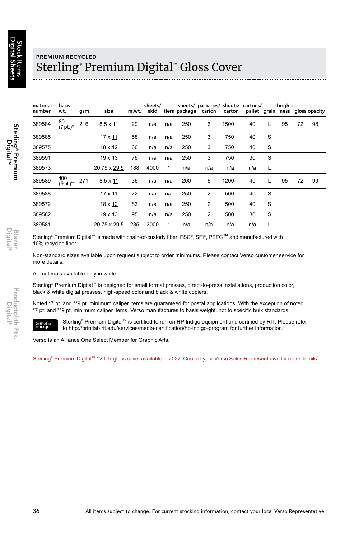## PREMIUM RECYCLED Sterling® Premium Digital™ Gloss Cover

| material<br>number | basis<br>wt.       | qsm | size            | m.wt. | sheets/<br>skid |     |     | sheets/ packages/ sheets/ cartons/<br>tiers package carton carton pallet grain ness gloss opacity |      |     |   | bright- |    |    |
|--------------------|--------------------|-----|-----------------|-------|-----------------|-----|-----|---------------------------------------------------------------------------------------------------|------|-----|---|---------|----|----|
| 389584             | 80<br>$(7pt.)^*$   | 216 | $8.5 \times 11$ | 29    | n/a             | n/a | 250 | 6                                                                                                 | 1500 | 40  | L | 95      | 72 | 98 |
| 389585             |                    |     | 17 x 11         | 58    | n/a             | n/a | 250 | 3                                                                                                 | 750  | 40  | S |         |    |    |
| 389575             |                    |     | 18 x 12         | 66    | n/a             | n/a | 250 | 3                                                                                                 | 750  | 40  | S |         |    |    |
| 389591             |                    |     | 19 x 13         | 76    | n/a             | n/a | 250 | 3                                                                                                 | 750  | 30  | S |         |    |    |
| 389573             |                    |     | 20.75 x 29.5    | 188   | 4000            | 1   | n/a | n/a                                                                                               | n/a  | n/a | L |         |    |    |
| 389589             | 100<br>$(9$ pt.)** | 271 | $8.5 \times 11$ | 36    | n/a             | n/a | 200 | 6                                                                                                 | 1200 | 40  | L | 95      | 72 | 99 |
| 389588             |                    |     | 17 x 11         | 72    | n/a             | n/a | 250 | $\overline{2}$                                                                                    | 500  | 40  | S |         |    |    |
| 389572             |                    |     | 18 x 12         | 83    | n/a             | n/a | 250 | $\overline{2}$                                                                                    | 500  | 40  | S |         |    |    |
| 389582             |                    |     | 19 x 13         | 95    | n/a             | n/a | 250 | 2                                                                                                 | 500  | 30  | S |         |    |    |
| 389581             |                    |     | 20.75 x 29.5    | 235   | 3000            | 1   | n/a | n/a                                                                                               | n/a  | n/a | L |         |    |    |

Sterling® Premium Digital™ is made with chain-of-custody fiber: FSC®, SFI®, PEFC™ and manufactured with 10% recycled fiber.

Non-standard sizes available upon request subject to order minimums. Please contact Verso customer service for more details.

All materials available only in white.

Sterling® Premium Digital™ is designed for small format presses, direct-to-press installations, production color, black & white digital presses, high-speed color and black & white copiers.

Noted \*7 pt. and \*\*9 pt. minimum caliper items are guaranteed for postal applications. With the exception of noted \*7 pt. and \*\*9 pt. minimum caliper items, Verso manufactures to basis weight, not to specific bulk standards.

Sterling<sup>®</sup> Premium Digital<sup>™</sup> is certified to run on HP Indigo equipment and certified by RIT. Please refer to http://printlab.rit.edu/services/media-certification/hp-indigo-program for further information. Certified for<br>HP Indigo

Verso is an Alliance One Select Member for Graphic Arts.

Sterling® Premium Digital™ 120 lb. gloss cover available in 2022. Contact your Verso Sales Representative for more details.

Blazer<br>Digital®

Sterling® Premium<br>Digital™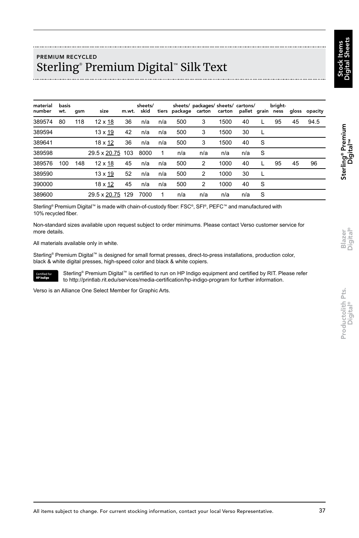#### PREMIUM RECYCLED Sterling® Premium Digital™ Silk Text

| material<br>number | basis<br>wt. | qsm | size             |    | sheets/<br>m.wt. skid |              |     | sheets/ packages/ sheets/ cartons/<br>tiers package carton carton pallet grain ness gloss opacity |      |     |   | bright- |    |      |
|--------------------|--------------|-----|------------------|----|-----------------------|--------------|-----|---------------------------------------------------------------------------------------------------|------|-----|---|---------|----|------|
| 389574             | 80           | 118 | $12 \times 18$   | 36 | n/a                   | n/a          | 500 | 3                                                                                                 | 1500 | 40  |   | 95      | 45 | 94.5 |
| 389594             |              |     | $13 \times 19$   | 42 | n/a                   | n/a          | 500 | 3                                                                                                 | 1500 | 30  | L |         |    |      |
| 389641             |              |     | 18 x 12          | 36 | n/a                   | n/a          | 500 | 3                                                                                                 | 1500 | 40  | S |         |    |      |
| 389598             |              |     | 29.5 x 20.75 103 |    | 8000                  | $\mathbf{1}$ | n/a | n/a                                                                                               | n/a  | n/a | S |         |    |      |
| 389576             | 100          | 148 | $12 \times 18$   | 45 | n/a                   | n/a          | 500 | $\overline{2}$                                                                                    | 1000 | 40  | L | 95      | 45 | 96   |
| 389590             |              |     | 13 x 19          | 52 | n/a                   | n/a          | 500 | $\overline{2}$                                                                                    | 1000 | 30  | L |         |    |      |
| 390000             |              |     | 18 x 12          | 45 | n/a                   | n/a          | 500 | 2                                                                                                 | 1000 | 40  | S |         |    |      |
| 389600             |              |     | 29.5 x 20.75 129 |    | 7000                  |              | n/a | n/a                                                                                               | n/a  | n/a | S |         |    |      |

Sterling® Premium Digital™ is made with chain-of-custody fiber: FSC®, SFI®, PEFC™ and manufactured with 10% recycled fiber.

Non-standard sizes available upon request subject to order minimums. Please contact Verso customer service for more details.

All materials available only in white.

Sterling® Premium Digital™ is designed for small format presses, direct-to-press installations, production color, black & white digital presses, high-speed color and black & white copiers.



Sterling<sup>®</sup> Premium Digital™ is certified to run on HP Indigo equipment and certified by RIT. Please refer to http://printlab.rit.edu/services/media-certification/hp-indigo-program for further information.

Verso is an Alliance One Select Member for Graphic Arts.

Productolith Pts.<br>Digital<sup>®</sup>

Blazer<br>Digital® Productolith Pts. Blazer **Sterling® Premium**<br>Digital® Digital® Digital®

™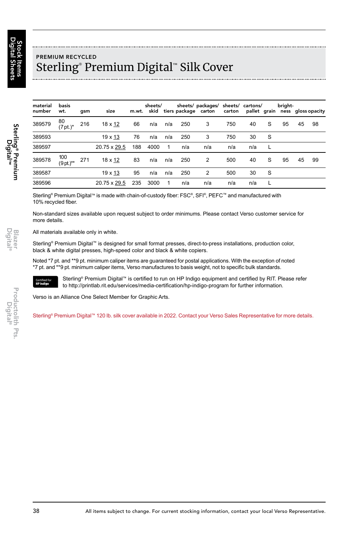## PREMIUM RECYCLED Sterling® Premium Digital™ Silk Cover

| material<br>number | basis<br>wt.       | qsm | size         |     | sheets/<br>m.wt. skid |     |     | sheets/ packages/ sheets/ cartons/<br>tiers package carton carton pallet grain ness gloss opacity |     |     |   | bright- |    |    |
|--------------------|--------------------|-----|--------------|-----|-----------------------|-----|-----|---------------------------------------------------------------------------------------------------|-----|-----|---|---------|----|----|
| 389579             | 80<br>$(7pt.)^*$   | 216 | 18 x 12      | 66  | n/a                   | n/a | 250 | 3                                                                                                 | 750 | 40  | S | 95      | 45 | 98 |
| 389593             |                    |     | 19 x 13      | 76  | n/a                   | n/a | 250 | 3                                                                                                 | 750 | 30  | S |         |    |    |
| 389597             |                    |     | 20.75 x 29.5 | 188 | 4000                  | -1  | n/a | n/a                                                                                               | n/a | n/a |   |         |    |    |
| 389578             | 100<br>$(9$ pt.)** | 271 | 18 x 12      | 83  | n/a                   | n/a | 250 | 2                                                                                                 | 500 | 40  | S | 95      | 45 | 99 |
| 389587             |                    |     | 19 x 13      | 95  | n/a                   | n/a | 250 | 2                                                                                                 | 500 | 30  | S |         |    |    |
| 389596             |                    |     | 20.75 x 29.5 | 235 | 3000                  | 1   | n/a | n/a                                                                                               | n/a | n/a | L |         |    |    |

Sterling® Premium Digital™ is made with chain-of-custody fiber: FSC®, SFI®, PEFC™ and manufactured with 10% recycled fiber.

Non-standard sizes available upon request subject to order minimums. Please contact Verso customer service for more details.

All materials available only in white.

Sterling® Premium Digital™ is designed for small format presses, direct-to-press installations, production color, black & white digital presses, high-speed color and black & white copiers.

Noted \*7 pt. and \*\*9 pt. minimum caliper items are guaranteed for postal applications. With the exception of noted \*7 pt. and \*\*9 pt. minimum caliper items, Verso manufactures to basis weight, not to specific bulk standards.



Sterling<sup>®</sup> Premium Digital<sup>™</sup> is certified to run on HP Indigo equipment and certified by RIT. Please refer to http://printlab.rit.edu/services/media-certification/hp-indigo-program for further information.

Verso is an Alliance One Select Member for Graphic Arts.

Sterling® Premium Digital™ 120 lb. silk cover available in 2022. Contact your Verso Sales Representative for more details.

Sterling® Premium<br>Sterling® Premium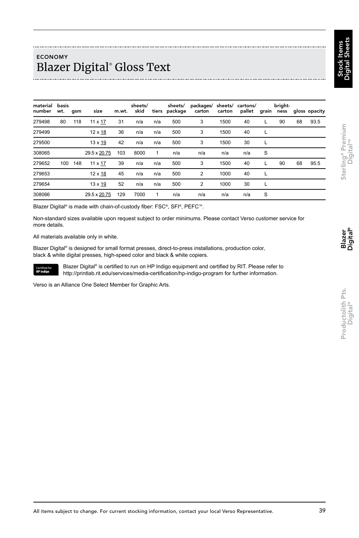™

Blazer<br>Digital

Productolith Pts. Digital® Sterling® Premium Digital Productolith Pts.<br>Digital<sup>®</sup>

## ECONOMY Blazer Digital® Gloss Text

| material<br>number | basis<br>wt. gsm |     | size           | m.wt. | sheets/<br>skid |     | sheets/ | packages/ sheets/ cartons/<br>tiers package carton carton |      | pallet grain ness gloss opacity |   | bright- |    |      |
|--------------------|------------------|-----|----------------|-------|-----------------|-----|---------|-----------------------------------------------------------|------|---------------------------------|---|---------|----|------|
| 279498             | 80               | 118 | 11 x 17        | 31    | n/a             | n/a | 500     | 3                                                         | 1500 | 40                              |   | 90      | 68 | 93.5 |
| 279499             |                  |     | $12 \times 18$ | 36    | n/a             | n/a | 500     | 3                                                         | 1500 | 40                              | L |         |    |      |
| 279500             |                  |     | 13 x 19        | 42    | n/a             | n/a | 500     | 3                                                         | 1500 | 30                              | L |         |    |      |
| 308065             |                  |     | 29.5 x 20.75   | 103   | 8000            | 1   | n/a     | n/a                                                       | n/a  | n/a                             | S |         |    |      |
| 279652             | 100              | 148 | 11 x 17        | 39    | n/a             | n/a | 500     | 3                                                         | 1500 | 40                              | L | 90      | 68 | 95.5 |
| 279653             |                  |     | $12 \times 18$ | 45    | n/a             | n/a | 500     | 2                                                         | 1000 | 40                              | L |         |    |      |
| 279654             |                  |     | 13 x 19        | 52    | n/a             | n/a | 500     | 2                                                         | 1000 | 30                              |   |         |    |      |
| 308066             |                  |     | 29.5 x 20.75   | 129   | 7000            | 1   | n/a     | n/a                                                       | n/a  | n/a                             | S |         |    |      |

Blazer Digital® is made with chain-of-custody fiber: FSC®, SFI®, PEFC™.

Non-standard sizes available upon request subject to order minimums. Please contact Verso customer service for more details.

All materials available only in white.

Certified fo<br>HP Indigo

Blazer Digital® is designed for small format presses, direct-to-press installations, production color, black & white digital presses, high-speed color and black & white copiers.

Blazer Digital® is certified to run on HP Indigo equipment and certified by RIT. Please refer to http://printlab.rit.edu/services/media-certification/hp-indigo-program for further information.

Verso is an Alliance One Select Member for Graphic Arts.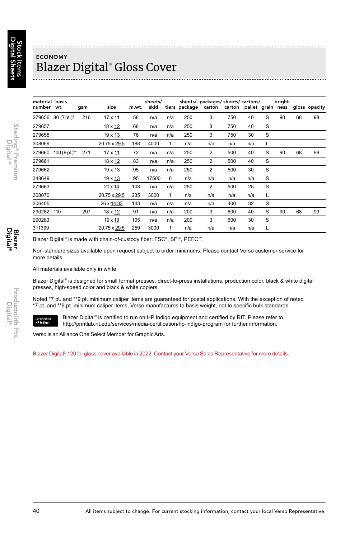## ECONOMY Blazer Digital® Gloss Cover

| material basis<br>number wt. |                    | gsm | size         | m.wt. | sheets/<br>skid |     |     | sheets/ packages/ sheets/ cartons/<br>tiers package carton carton pallet grain ness |     |     |   | bright- |    | gloss opacity |
|------------------------------|--------------------|-----|--------------|-------|-----------------|-----|-----|-------------------------------------------------------------------------------------|-----|-----|---|---------|----|---------------|
|                              | 279656 80 (7 pt.)* | 216 | 17 x 11      | 58    | n/a             | n/a | 250 | 3                                                                                   | 750 | 40  | S | 90      | 68 | 98            |
| 279657                       |                    |     | 18 x 12      | 66    | n/a             | n/a | 250 | 3                                                                                   | 750 | 40  | S |         |    |               |
| 279658                       |                    |     | 19 x 13      | 76    | n/a             | n/a | 250 | 3                                                                                   | 750 | 30  | S |         |    |               |
| 308069                       |                    |     | 20.75 x 29.5 | 188   | 4000            | 1   | n/a | n/a                                                                                 | n/a | n/a | L |         |    |               |
| 279660                       | $100 (9 pt.)**$    | 271 | 17 x 11      | 72    | n/a             | n/a | 250 | $\overline{2}$                                                                      | 500 | 40  | S | 90      | 68 | 99            |
| 279661                       |                    |     | 18 x 12      | 83    | n/a             | n/a | 250 | $\overline{2}$                                                                      | 500 | 40  | S |         |    |               |
| 279662                       |                    |     | 19 x 13      | 95    | n/a             | n/a | 250 | $\overline{2}$                                                                      | 500 | 30  | S |         |    |               |
| 348649                       |                    |     | 19 x 13      | 95    | 17500           | 6   | n/a | n/a                                                                                 | n/a | n/a | S |         |    |               |
| 279663                       |                    |     | 20 x 14      | 108   | n/a             | n/a | 250 | $\overline{2}$                                                                      | 500 | 25  | S |         |    |               |
| 308070                       |                    |     | 20.75 x 29.5 | 235   | 3000            | 1   | n/a | n/a                                                                                 | n/a | n/a | L |         |    |               |
| 306405                       |                    |     | 26 x 14.33   | 143   | n/a             | n/a | n/a | n/a                                                                                 | 400 | 32  | S |         |    |               |
| 290282                       | 110                | 297 | 18 x 12      | 91    | n/a             | n/a | 200 | 3                                                                                   | 600 | 40  | S | 90      | 68 | 99            |
| 290283                       |                    |     | 19 x 13      | 105   | n/a             | n/a | 200 | 3                                                                                   | 600 | 30  | S |         |    |               |
| 311399                       |                    |     | 20.75 x 29.5 | 259   | 3000            | 1   | n/a | n/a                                                                                 | n/a | n/a |   |         |    |               |

Blazer Digital® is made with chain-of-custody fiber: FSC®, SFI®, PEFC™.

Non-standard sizes available upon request subject to order minimums. Please contact Verso customer service for more details.

All materials available only in white.

Blazer Digital® is designed for small format presses, direct-to-press installations, production color, black & white digital presses, high-speed color and black & white copiers.

Noted \*7 pt. and \*\*9 pt. minimum caliper items are guaranteed for postal applications. With the exception of noted \*7 pt. and \*\*9 pt. minimum caliper items, Verso manufactures to basis weight, not to specific bulk standards.



Blazer Digital® is certified to run on HP Indigo equipment and certified by RIT. Please refer to http://printlab.rit.edu/services/media-certification/hp-indigo-program for further information.

Verso is an Alliance One Select Member for Graphic Arts.

Blazer Digital® 120 lb. gloss cover available in 2022. Contact your Verso Sales Representative for more details.

Blazer<br>Digital®

Sterling® Premium<br>Digital™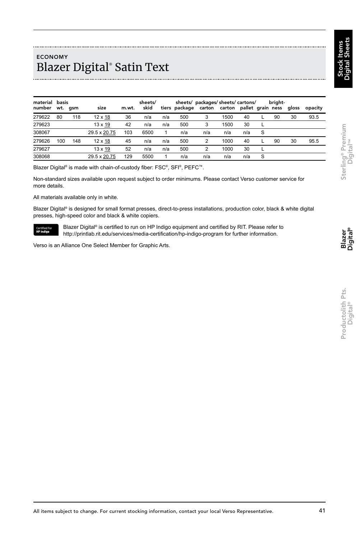## ECONOMY Blazer Digital® Satin Text

| material basis<br>number | wt. gsm |     | size           | m.wt. | sheets/<br>skid |     |     | sheets/ packages/ sheets/ cartons/<br>tiers package carton carton pallet grain ness |      |     |          | briaht- | aloss | opacity |
|--------------------------|---------|-----|----------------|-------|-----------------|-----|-----|-------------------------------------------------------------------------------------|------|-----|----------|---------|-------|---------|
| 279622                   | 80      | 118 | $12 \times 18$ | 36    | n/a             | n/a | 500 | 3                                                                                   | 1500 | 40  |          | 90      | 30    | 93.5    |
| 279623                   |         |     | $13 \times 19$ | 42    | n/a             | n/a | 500 | 3                                                                                   | 1500 | 30  |          |         |       |         |
| 308067                   |         |     | 29.5 x 20.75   | 103   | 6500            | 1   | n/a | n/a                                                                                 | n/a  | n/a | <b>S</b> |         |       |         |
| 279626                   | 100     | 148 | $12 \times 18$ | 45    | n/a             | n/a | 500 | $\overline{2}$                                                                      | 1000 | 40  |          | 90      | 30    | 95.5    |
| 279627                   |         |     | $13 \times 19$ | 52    | n/a             | n/a | 500 | $\overline{2}$                                                                      | 1000 | 30  |          |         |       |         |
| 308068                   |         |     | 29.5 x 20.75   | 129   | 5500            |     | n/a | n/a                                                                                 | n/a  | n/a | <b>S</b> |         |       |         |

Blazer Digital® is made with chain-of-custody fiber: FSC®, SFI®, PEFC™.

Non-standard sizes available upon request subject to order minimums. Please contact Verso customer service for more details.

All materials available only in white.

Blazer Digital® is designed for small format presses, direct-to-press installations, production color, black & white digital presses, high-speed color and black & white copiers.



Blazer Digital® is certified to run on HP Indigo equipment and certified by RIT. Please refer to http://printlab.rit.edu/services/media-certification/hp-indigo-program for further information.

Verso is an Alliance One Select Member for Graphic Arts.

Blazer<br>Digital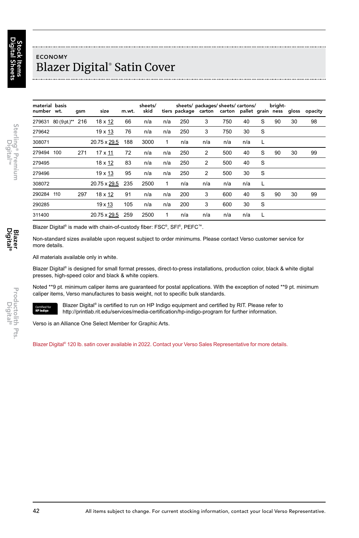## ECONOMY Blazer Digital® Satin Cover

| material basis<br>number wt. |                         | qsm | size           | m.wt. | sheets/<br>skid |     |     | sheets/ packages/ sheets/ cartons/<br>tiers package carton carton pallet grain ness gloss opacity |     |     |   | bright- |    |    |
|------------------------------|-------------------------|-----|----------------|-------|-----------------|-----|-----|---------------------------------------------------------------------------------------------------|-----|-----|---|---------|----|----|
|                              | 279631 80 (9 pt.)** 216 |     | 18 x 12        | 66    | n/a             | n/a | 250 | 3                                                                                                 | 750 | 40  | S | 90      | 30 | 98 |
| 279642                       |                         |     | 19 x 13        | 76    | n/a             | n/a | 250 | 3                                                                                                 | 750 | 30  | S |         |    |    |
| 308071                       |                         |     | 20.75 x 29.5   | 188   | 3000            | 1   | n/a | n/a                                                                                               | n/a | n/a | L |         |    |    |
| 279494                       | 100                     | 271 | $17 \times 11$ | 72    | n/a             | n/a | 250 | 2                                                                                                 | 500 | 40  | S | 90      | 30 | 99 |
| 279495                       |                         |     | $18 \times 12$ | 83    | n/a             | n/a | 250 | $\overline{2}$                                                                                    | 500 | 40  | S |         |    |    |
| 279496                       |                         |     | 19 x 13        | 95    | n/a             | n/a | 250 | 2                                                                                                 | 500 | 30  | S |         |    |    |
| 308072                       |                         |     | 20.75 x 29.5   | 235   | 2500            | 1   | n/a | n/a                                                                                               | n/a | n/a | L |         |    |    |
| 290284                       | 110                     | 297 | 18 x 12        | 91    | n/a             | n/a | 200 | 3                                                                                                 | 600 | 40  | S | 90      | 30 | 99 |
| 290285                       |                         |     | 19 x 13        | 105   | n/a             | n/a | 200 | 3                                                                                                 | 600 | 30  | S |         |    |    |
| 311400                       |                         |     | 20.75 x 29.5   | 259   | 2500            | 1   | n/a | n/a                                                                                               | n/a | n/a | L |         |    |    |

Blazer Digital® is made with chain-of-custody fiber: FSC®, SFI®, PEFC™.

Non-standard sizes available upon request subject to order minimums. Please contact Verso customer service for more details.

All materials available only in white.

Blazer Digital® is designed for small format presses, direct-to-press installations, production color, black & white digital presses, high-speed color and black & white copiers.

Noted \*\*9 pt. minimum caliper items are guaranteed for postal applications. With the exception of noted \*\*9 pt. minimum caliper items, Verso manufactures to basis weight, not to specific bulk standards.



Blazer Digital<sup>®</sup> is certified to run on HP Indigo equipment and certified by RIT. Please refer to http://printlab.rit.edu/services/media-certification/hp-indigo-program for further information.

Verso is an Alliance One Select Member for Graphic Arts.

Blazer Digital® 120 lb. satin cover available in 2022. Contact your Verso Sales Representative for more details.

Sterling® Premium<br>Digital™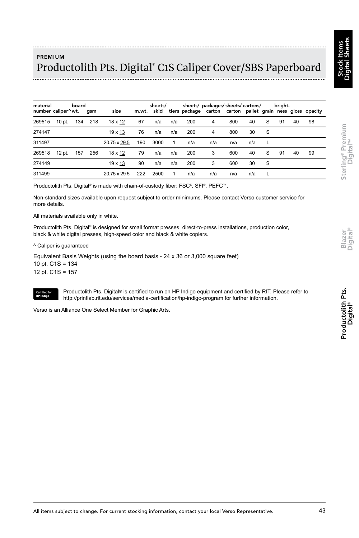™

## PREMIUM Productolith Pts. Digital® C1S Caliper Cover/SBS Paperboard

| material<br>number caliper^wt. gsm |        | board |         | size           |     | sheets/ |     |     | sheets/ packages/sheets/ cartons/<br>m.wt. skid tiers package carton carton pallet grain ness gloss opacity |     |     |    | bright- |    |    |
|------------------------------------|--------|-------|---------|----------------|-----|---------|-----|-----|-------------------------------------------------------------------------------------------------------------|-----|-----|----|---------|----|----|
| 269515                             | 10 pt. |       | 134 218 | 18 x 12        | 67  | n/a     | n/a | 200 | 4                                                                                                           | 800 | 40  | S  | 91      | 40 | 98 |
| 274147                             |        |       |         | $19 \times 13$ | 76  | n/a     | n/a | 200 | 4                                                                                                           | 800 | 30  | -S |         |    |    |
| 311497                             |        |       |         | 20.75 x 29.5   | 190 | 3000    | 1   | n/a | n/a                                                                                                         | n/a | n/a |    |         |    |    |
| 269518                             | 12 pt. | 157   | 256     | 18 x 12        | 79  | n/a     | n/a | 200 | 3                                                                                                           | 600 | 40  | S  | 91      | 40 | 99 |
| 274149                             |        |       |         | $19 \times 13$ | 90  | n/a     | n/a | 200 | 3                                                                                                           | 600 | 30  | -S |         |    |    |
| 311499                             |        |       |         | 20.75 x 29.5   | 222 | 2500    |     | n/a | n/a                                                                                                         | n/a | n/a |    |         |    |    |

Productolith Pts. Digital® is made with chain-of-custody fiber: FSC®, SFI®, PEFC™.

Non-standard sizes available upon request subject to order minimums. Please contact Verso customer service for more details.

All materials available only in white.

Productolith Pts. Digital® is designed for small format presses, direct-to-press installations, production color, black & white digital presses, high-speed color and black & white copiers.

^ Caliper is guaranteed

Equivalent Basis Weights (using the board basis - 24 x 36 or 3,000 square feet) 10 pt. C1S = 134 12 pt. C1S = 157



Productolith Pts. Digital® is certified to run on HP Indigo equipment and certified by RIT. Please refer to http://printlab.rit.edu/services/media-certification/hp-indigo-program for further information.

Verso is an Alliance One Select Member for Graphic Arts.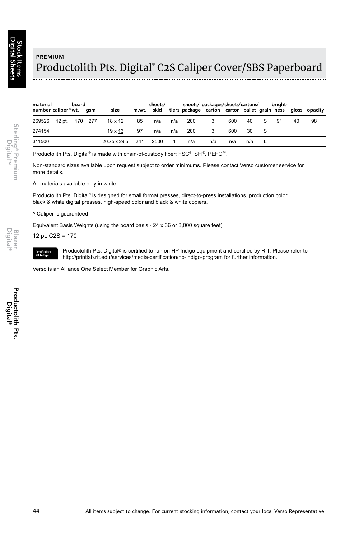## PREMIUM Productolith Pts. Digital® C2S Caliper Cover/SBS Paperboard

| material<br>number caliper^wt. gsm |                | board | size           |     | sheets/ |     | sheets/ packages/sheets/cartons/<br>m.wt. skid tiers package carton carton pallet grain ness gloss opacity |     |     |     |   | briaht- |    |    |
|------------------------------------|----------------|-------|----------------|-----|---------|-----|------------------------------------------------------------------------------------------------------------|-----|-----|-----|---|---------|----|----|
| 269526                             | 12 pt. 170 277 |       | 18 x 12        | 85  | n/a     | n/a | 200                                                                                                        | 3   | 600 | 40  | S | 91      | 40 | 98 |
| 274154                             |                |       | $19 \times 13$ | 97  | n/a     | n/a | 200                                                                                                        |     | 600 | 30  |   |         |    |    |
| 311500                             |                |       | 20.75 x 29.5   | 241 | 2500    | 1   | n/a                                                                                                        | n/a | n/a | n/a |   |         |    |    |

Productolith Pts. Digital® is made with chain-of-custody fiber: FSC®, SFI®, PEFC™.

Non-standard sizes available upon request subject to order minimums. Please contact Verso customer service for more details.

All materials available only in white.

Productolith Pts. Digital® is designed for small format presses, direct-to-press installations, production color, black & white digital presses, high-speed color and black & white copiers.

#### ^ Caliper is guaranteed

Equivalent Basis Weights (using the board basis - 24 x 36 or 3,000 square feet)

12 pt. C2S = 170



Productolith Pts. Digital® is certified to run on HP Indigo equipment and certified by RIT. Please refer to http://printlab.rit.edu/services/media-certification/hp-indigo-program for further information.

Verso is an Alliance One Select Member for Graphic Arts.

biaze<br>Digital

Sterling® Premium<br>Digital™